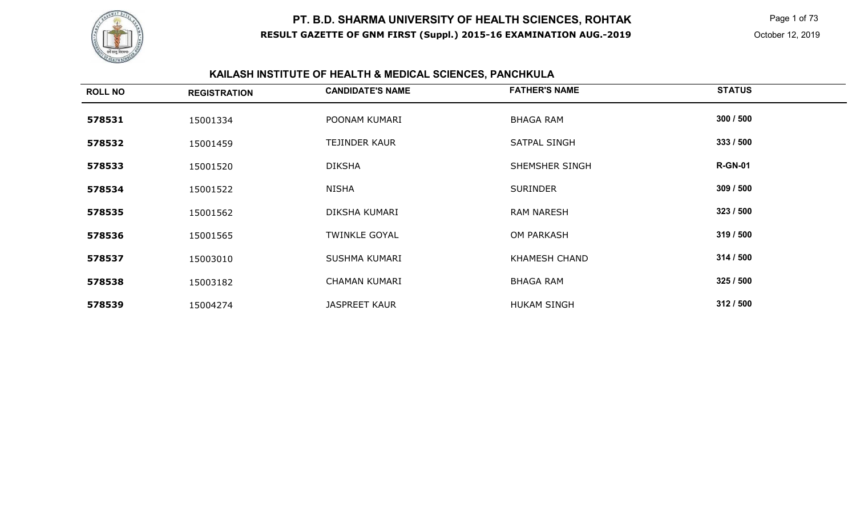

 Page 1 of 73 October 12, 2019

# **KAILASH INSTITUTE OF HEALTH & MEDICAL SCIENCES, PANCHKULA**

| <b>ROLL NO</b> | <b>REGISTRATION</b> | <b>CANDIDATE'S NAME</b> | <b>FATHER'S NAME</b> | <b>STATUS</b>  |
|----------------|---------------------|-------------------------|----------------------|----------------|
| 578531         | 15001334            | POONAM KUMARI           | <b>BHAGA RAM</b>     | 300 / 500      |
| 578532         | 15001459            | TEJINDER KAUR           | SATPAL SINGH         | 333/500        |
| 578533         | 15001520            | <b>DIKSHA</b>           | SHEMSHER SINGH       | <b>R-GN-01</b> |
| 578534         | 15001522            | <b>NISHA</b>            | <b>SURINDER</b>      | 309 / 500      |
| 578535         | 15001562            | DIKSHA KUMARI           | <b>RAM NARESH</b>    | 323 / 500      |
| 578536         | 15001565            | <b>TWINKLE GOYAL</b>    | <b>OM PARKASH</b>    | 319 / 500      |
| 578537         | 15003010            | SUSHMA KUMARI           | <b>KHAMESH CHAND</b> | 314 / 500      |
| 578538         | 15003182            | <b>CHAMAN KUMARI</b>    | <b>BHAGA RAM</b>     | 325 / 500      |
| 578539         | 15004274            | <b>JASPREET KAUR</b>    | <b>HUKAM SINGH</b>   | 312/500        |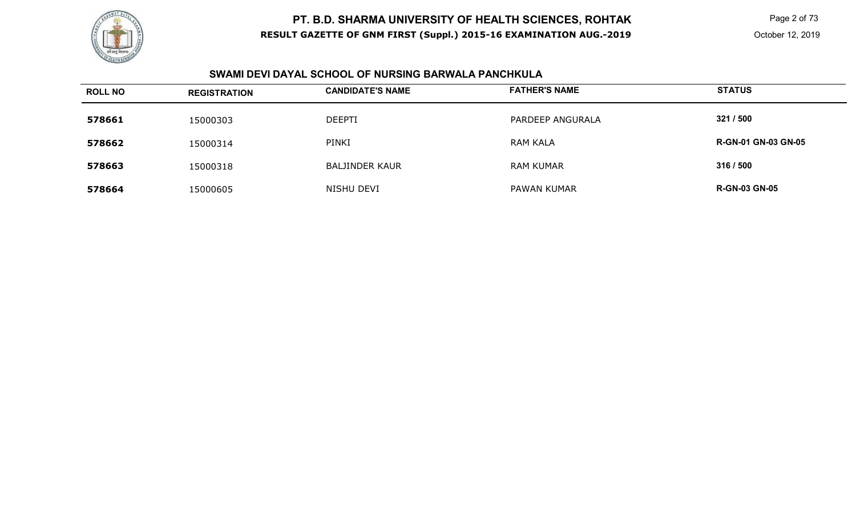

 Page 2 of 73 October 12, 2019

#### **SWAMI DEVI DAYAL SCHOOL OF NURSING BARWALA PANCHKULA**

| <b>ROLL NO</b> | <b>REGISTRATION</b> | <b>CANDIDATE'S NAME</b> | <b>FATHER'S NAME</b> | <b>STATUS</b>              |
|----------------|---------------------|-------------------------|----------------------|----------------------------|
| 578661         | 15000303            | <b>DEEPTI</b>           | PARDEEP ANGURALA     | 321 / 500                  |
| 578662         | 15000314            | PINKI                   | <b>RAM KALA</b>      | <b>R-GN-01 GN-03 GN-05</b> |
| 578663         | 15000318            | <b>BALJINDER KAUR</b>   | <b>RAM KUMAR</b>     | 316 / 500                  |
| 578664         | 15000605            | NISHU DEVI              | PAWAN KUMAR          | <b>R-GN-03 GN-05</b>       |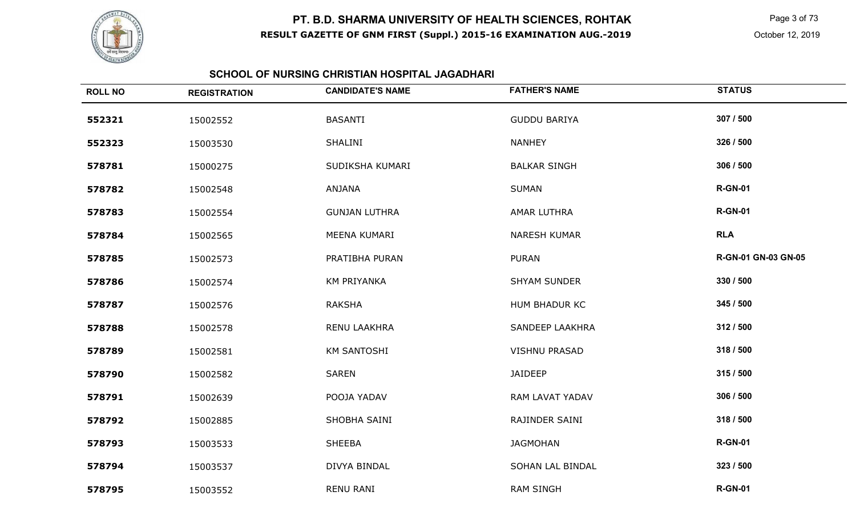

 Page 3 of 73 October 12, 2019

#### **SCHOOL OF NURSING CHRISTIAN HOSPITAL JAGADHARI**

| <b>ROLL NO</b> | <b>REGISTRATION</b> | <b>CANDIDATE'S NAME</b> | <b>FATHER'S NAME</b> | <b>STATUS</b>       |
|----------------|---------------------|-------------------------|----------------------|---------------------|
| 552321         | 15002552            | <b>BASANTI</b>          | <b>GUDDU BARIYA</b>  | 307 / 500           |
| 552323         | 15003530            | <b>SHALINI</b>          | <b>NANHEY</b>        | 326 / 500           |
| 578781         | 15000275            | SUDIKSHA KUMARI         | <b>BALKAR SINGH</b>  | 306 / 500           |
| 578782         | 15002548            | ANJANA                  | <b>SUMAN</b>         | <b>R-GN-01</b>      |
| 578783         | 15002554            | <b>GUNJAN LUTHRA</b>    | AMAR LUTHRA          | <b>R-GN-01</b>      |
| 578784         | 15002565            | MEENA KUMARI            | <b>NARESH KUMAR</b>  | <b>RLA</b>          |
| 578785         | 15002573            | PRATIBHA PURAN          | <b>PURAN</b>         | R-GN-01 GN-03 GN-05 |
| 578786         | 15002574            | <b>KM PRIYANKA</b>      | <b>SHYAM SUNDER</b>  | 330 / 500           |
| 578787         | 15002576            | <b>RAKSHA</b>           | HUM BHADUR KC        | 345 / 500           |
| 578788         | 15002578            | RENU LAAKHRA            | SANDEEP LAAKHRA      | 312 / 500           |
| 578789         | 15002581            | <b>KM SANTOSHI</b>      | <b>VISHNU PRASAD</b> | 318 / 500           |
| 578790         | 15002582            | <b>SAREN</b>            | <b>JAIDEEP</b>       | 315 / 500           |
| 578791         | 15002639            | POOJA YADAV             | RAM LAVAT YADAV      | 306 / 500           |
| 578792         | 15002885            | SHOBHA SAINI            | RAJINDER SAINI       | 318 / 500           |
| 578793         | 15003533            | <b>SHEEBA</b>           | <b>JAGMOHAN</b>      | <b>R-GN-01</b>      |
| 578794         | 15003537            | DIVYA BINDAL            | SOHAN LAL BINDAL     | 323 / 500           |
| 578795         | 15003552            | <b>RENU RANI</b>        | <b>RAM SINGH</b>     | <b>R-GN-01</b>      |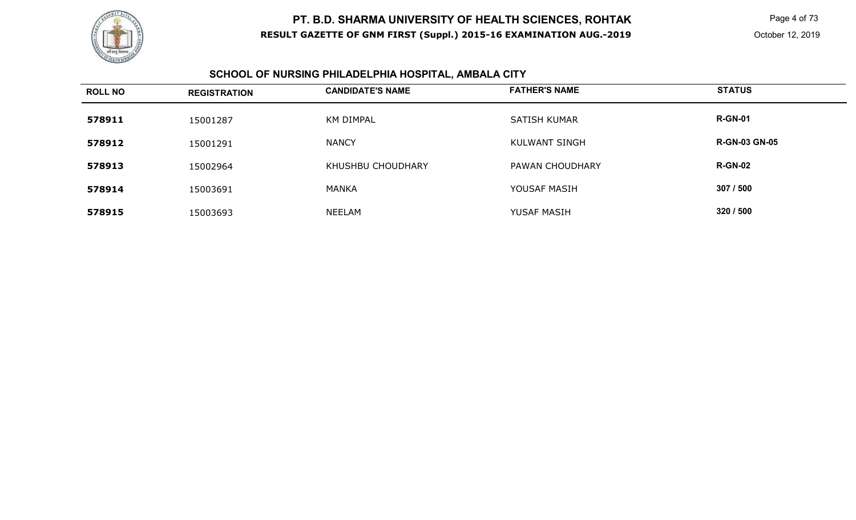

 Page 4 of 73 October 12, 2019

#### **SCHOOL OF NURSING PHILADELPHIA HOSPITAL, AMBALA CITY**

| <b>ROLL NO</b> | <b>REGISTRATION</b> | <b>CANDIDATE'S NAME</b> | <b>FATHER'S NAME</b> | <b>STATUS</b>        |
|----------------|---------------------|-------------------------|----------------------|----------------------|
| 578911         | 15001287            | <b>KM DIMPAL</b>        | <b>SATISH KUMAR</b>  | <b>R-GN-01</b>       |
| 578912         | 15001291            | <b>NANCY</b>            | KULWANT SINGH        | <b>R-GN-03 GN-05</b> |
| 578913         | 15002964            | KHUSHBU CHOUDHARY       | PAWAN CHOUDHARY      | <b>R-GN-02</b>       |
| 578914         | 15003691            | <b>MANKA</b>            | YOUSAF MASIH         | 307 / 500            |
| 578915         | 15003693            | NEELAM                  | YUSAF MASIH          | 320 / 500            |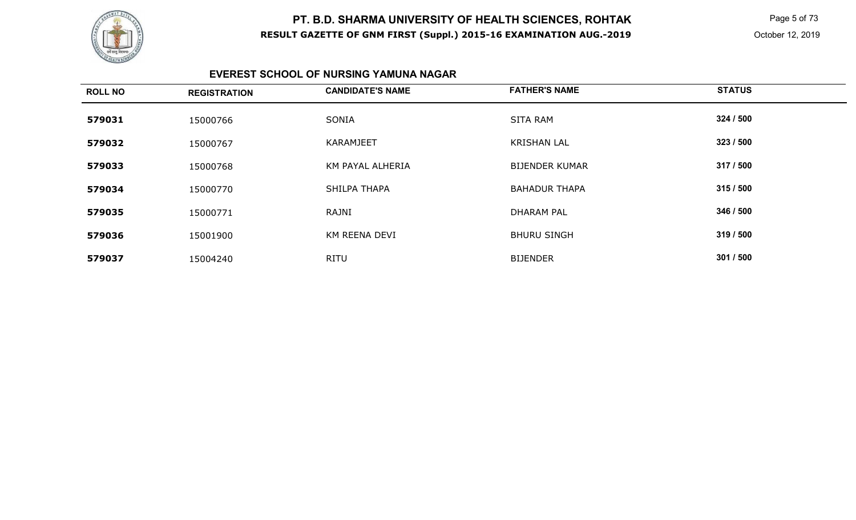

 Page 5 of 73 October 12, 2019

#### **EVEREST SCHOOL OF NURSING YAMUNA NAGAR**

| <b>ROLL NO</b> | <b>REGISTRATION</b> | <b>CANDIDATE'S NAME</b> | <b>FATHER'S NAME</b>  | <b>STATUS</b> |
|----------------|---------------------|-------------------------|-----------------------|---------------|
| 579031         | 15000766            | SONIA                   | <b>SITA RAM</b>       | 324 / 500     |
| 579032         | 15000767            | <b>KARAMJEET</b>        | <b>KRISHAN LAL</b>    | 323 / 500     |
| 579033         | 15000768            | KM PAYAL ALHERIA        | <b>BIJENDER KUMAR</b> | 317 / 500     |
| 579034         | 15000770            | SHILPA THAPA            | <b>BAHADUR THAPA</b>  | 315/500       |
| 579035         | 15000771            | RAJNI                   | <b>DHARAM PAL</b>     | 346 / 500     |
| 579036         | 15001900            | KM REENA DEVI           | <b>BHURU SINGH</b>    | 319 / 500     |
| 579037         | 15004240            | <b>RITU</b>             | <b>BIJENDER</b>       | 301 / 500     |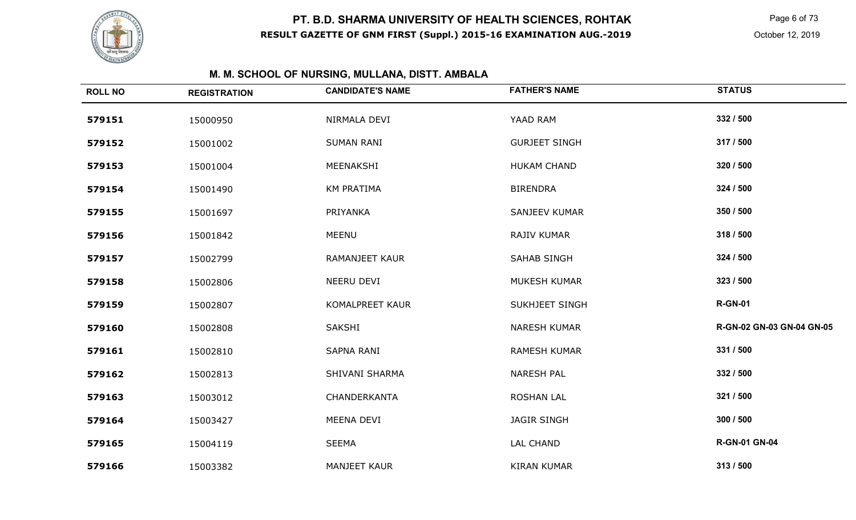

 Page 6 of 73 October 12, 2019

# **M. M. SCHOOL OF NURSING, MULLANA, DISTT. AMBALA**

| <b>ROLL NO</b> | <b>REGISTRATION</b> | <b>CANDIDATE'S NAME</b> | <b>FATHER'S NAME</b>  | <b>STATUS</b>             |
|----------------|---------------------|-------------------------|-----------------------|---------------------------|
| 579151         | 15000950            | NIRMALA DEVI            | YAAD RAM              | 332 / 500                 |
| 579152         | 15001002            | <b>SUMAN RANI</b>       | <b>GURJEET SINGH</b>  | 317 / 500                 |
| 579153         | 15001004            | MEENAKSHI               | <b>HUKAM CHAND</b>    | 320 / 500                 |
| 579154         | 15001490            | <b>KM PRATIMA</b>       | <b>BIRENDRA</b>       | 324 / 500                 |
| 579155         | 15001697            | PRIYANKA                | SANJEEV KUMAR         | 350 / 500                 |
| 579156         | 15001842            | <b>MEENU</b>            | RAJIV KUMAR           | 318 / 500                 |
| 579157         | 15002799            | <b>RAMANJEET KAUR</b>   | SAHAB SINGH           | 324 / 500                 |
| 579158         | 15002806            | NEERU DEVI              | <b>MUKESH KUMAR</b>   | 323 / 500                 |
| 579159         | 15002807            | KOMALPREET KAUR         | <b>SUKHJEET SINGH</b> | <b>R-GN-01</b>            |
| 579160         | 15002808            | SAKSHI                  | <b>NARESH KUMAR</b>   | R-GN-02 GN-03 GN-04 GN-05 |
| 579161         | 15002810            | SAPNA RANI              | <b>RAMESH KUMAR</b>   | 331 / 500                 |
| 579162         | 15002813            | SHIVANI SHARMA          | <b>NARESH PAL</b>     | 332 / 500                 |
| 579163         | 15003012            | CHANDERKANTA            | <b>ROSHAN LAL</b>     | 321 / 500                 |
| 579164         | 15003427            | MEENA DEVI              | <b>JAGIR SINGH</b>    | 300 / 500                 |
| 579165         | 15004119            | <b>SEEMA</b>            | <b>LAL CHAND</b>      | <b>R-GN-01 GN-04</b>      |
| 579166         | 15003382            | <b>MANJEET KAUR</b>     | <b>KIRAN KUMAR</b>    | 313 / 500                 |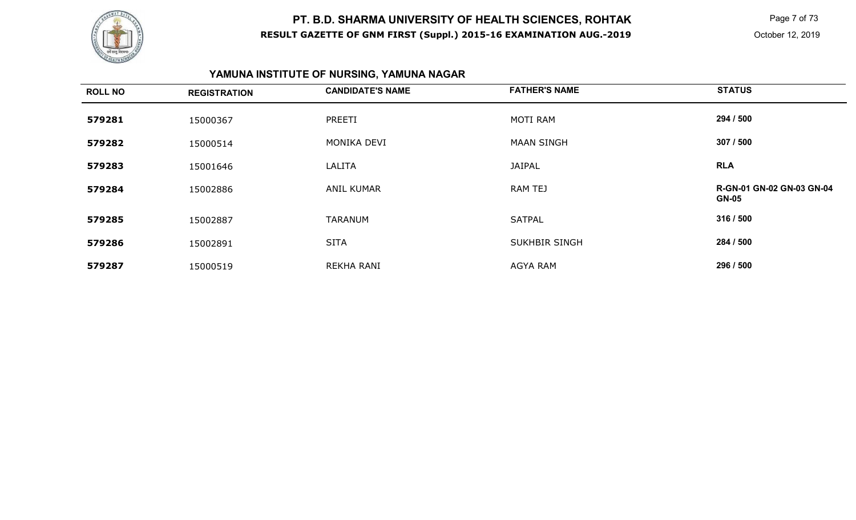

 Page 7 of 73 October 12, 2019

# **YAMUNA INSTITUTE OF NURSING, YAMUNA NAGAR**

| <b>ROLL NO</b> | <b>REGISTRATION</b> | <b>CANDIDATE'S NAME</b> | <b>FATHER'S NAME</b> | <b>STATUS</b>                                    |
|----------------|---------------------|-------------------------|----------------------|--------------------------------------------------|
| 579281         | 15000367            | PREETI                  | MOTI RAM             | 294 / 500                                        |
| 579282         | 15000514            | MONIKA DEVI             | <b>MAAN SINGH</b>    | 307 / 500                                        |
| 579283         | 15001646            | LALITA                  | <b>JAIPAL</b>        | <b>RLA</b>                                       |
| 579284         | 15002886            | <b>ANIL KUMAR</b>       | RAM TEJ              | <b>R-GN-01 GN-02 GN-03 GN-04</b><br><b>GN-05</b> |
| 579285         | 15002887            | <b>TARANUM</b>          | <b>SATPAL</b>        | 316 / 500                                        |
| 579286         | 15002891            | <b>SITA</b>             | <b>SUKHBIR SINGH</b> | 284 / 500                                        |
| 579287         | 15000519            | REKHA RANI              | <b>AGYA RAM</b>      | 296 / 500                                        |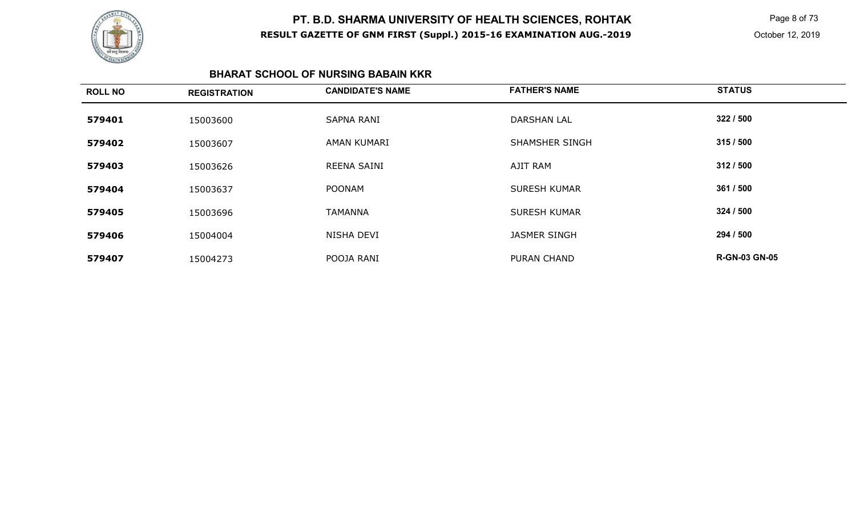

 Page 8 of 73 October 12, 2019

#### **BHARAT SCHOOL OF NURSING BABAIN KKR**

| <b>ROLL NO</b> | <b>REGISTRATION</b> | <b>CANDIDATE'S NAME</b> | <b>FATHER'S NAME</b>  | <b>STATUS</b>        |
|----------------|---------------------|-------------------------|-----------------------|----------------------|
| 579401         | 15003600            | <b>SAPNA RANI</b>       | <b>DARSHAN LAL</b>    | 322 / 500            |
| 579402         | 15003607            | AMAN KUMARI             | <b>SHAMSHER SINGH</b> | 315/500              |
| 579403         | 15003626            | REENA SAINI             | AJIT RAM              | 312/500              |
| 579404         | 15003637            | <b>POONAM</b>           | <b>SURESH KUMAR</b>   | 361 / 500            |
| 579405         | 15003696            | <b>TAMANNA</b>          | <b>SURESH KUMAR</b>   | 324 / 500            |
| 579406         | 15004004            | NISHA DEVI              | <b>JASMER SINGH</b>   | 294 / 500            |
| 579407         | 15004273            | POOJA RANI              | <b>PURAN CHAND</b>    | <b>R-GN-03 GN-05</b> |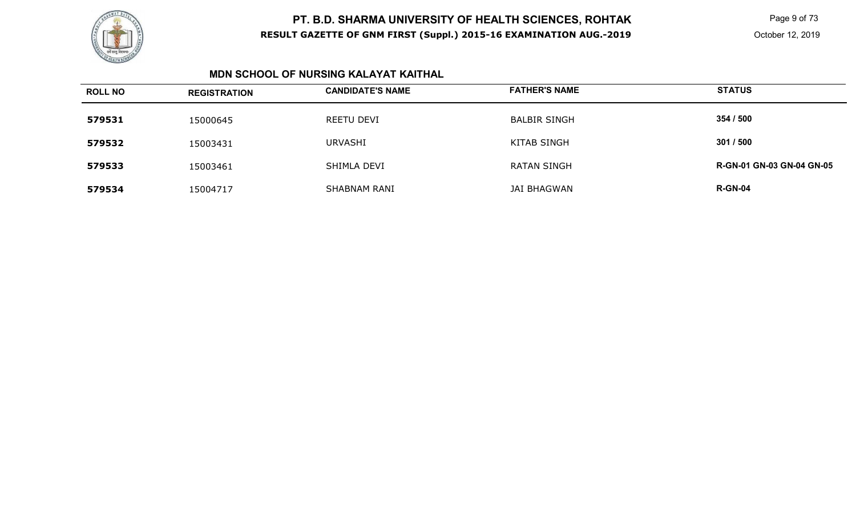

 Page 9 of 73 October 12, 2019

#### **MDN SCHOOL OF NURSING KALAYAT KAITHAL**

| <b>ROLL NO</b> | <b>REGISTRATION</b> | <b>CANDIDATE'S NAME</b> | <b>FATHER'S NAME</b> | <b>STATUS</b>                    |
|----------------|---------------------|-------------------------|----------------------|----------------------------------|
| 579531         | 15000645            | <b>REETU DEVI</b>       | <b>BALBIR SINGH</b>  | 354 / 500                        |
| 579532         | 15003431            | <b>URVASHI</b>          | KITAB SINGH          | 301/500                          |
| 579533         | 15003461            | SHIMLA DEVI             | <b>RATAN SINGH</b>   | <b>R-GN-01 GN-03 GN-04 GN-05</b> |
| 579534         | 15004717            | <b>SHABNAM RANI</b>     | <b>JAI BHAGWAN</b>   | <b>R-GN-04</b>                   |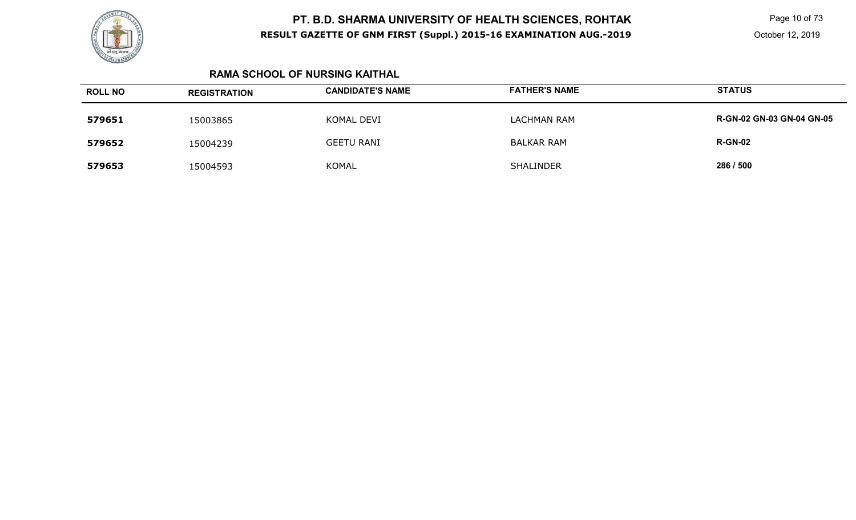

 Page 10 of 73 October 12, 2019

### **RAMA SCHOOL OF NURSING KAITHAL**

| <b>ROLL NO</b> | <b>REGISTRATION</b> | <b>CANDIDATE'S NAME</b> | <b>FATHER'S NAME</b> | <b>STATUS</b>                    |
|----------------|---------------------|-------------------------|----------------------|----------------------------------|
| 579651         | 15003865            | KOMAL DEVI              | <b>LACHMAN RAM</b>   | <b>R-GN-02 GN-03 GN-04 GN-05</b> |
| 579652         | 15004239            | <b>GEETU RANI</b>       | <b>BALKAR RAM</b>    | <b>R-GN-02</b>                   |
| 579653         | 15004593            | <b>KOMAL</b>            | <b>SHALINDER</b>     | 286 / 500                        |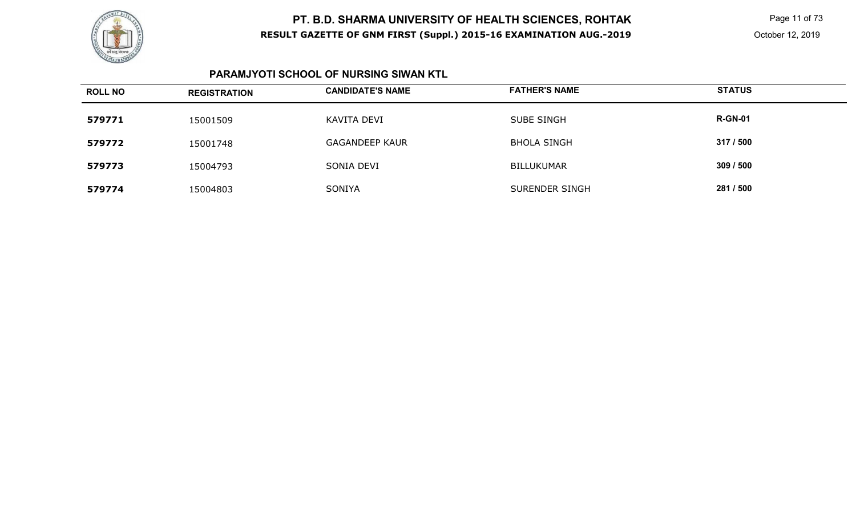

 Page 11 of 73 October 12, 2019

### **PARAMJYOTI SCHOOL OF NURSING SIWAN KTL**

| <b>ROLL NO</b> | <b>REGISTRATION</b> | <b>CANDIDATE'S NAME</b> | <b>FATHER'S NAME</b> | <b>STATUS</b>  |
|----------------|---------------------|-------------------------|----------------------|----------------|
| 579771         | 15001509            | KAVITA DEVI             | <b>SUBE SINGH</b>    | <b>R-GN-01</b> |
| 579772         | 15001748            | <b>GAGANDEEP KAUR</b>   | <b>BHOLA SINGH</b>   | 317 / 500      |
| 579773         | 15004793            | SONIA DEVI              | <b>BILLUKUMAR</b>    | 309/500        |
| 579774         | 15004803            | <b>SONIYA</b>           | SURENDER SINGH       | 281 / 500      |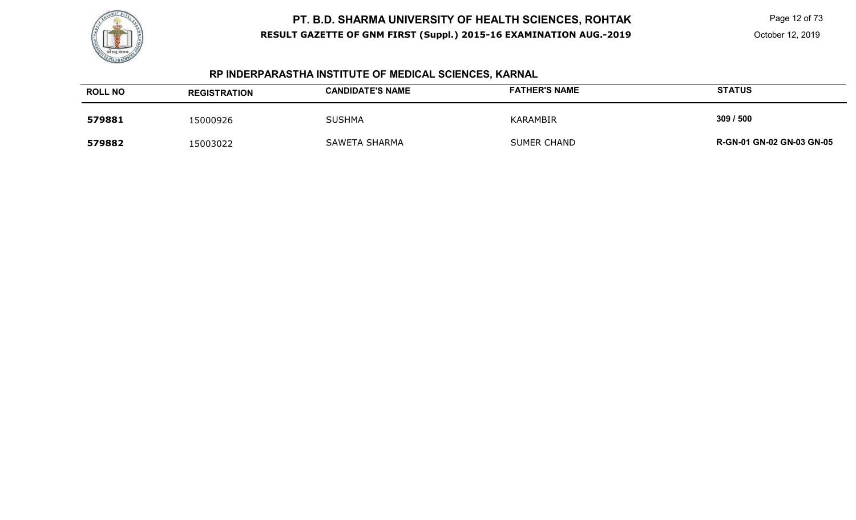

Page 12 of 73

October 12, 2019

# **RP INDERPARASTHA INSTITUTE OF MEDICAL SCIENCES, KARNAL**

| <b>ROLL NO</b> | <b>REGISTRATION</b> | <b>CANDIDATE'S NAME</b> | <b>FATHER'S NAME</b> | <b>STATUS</b>                    |
|----------------|---------------------|-------------------------|----------------------|----------------------------------|
| 579881         | 15000926            | <b>SUSHMA</b>           | KARAMBIR             | 309 / 500                        |
| 579882         | 15003022            | <b>SAWETA SHARMA</b>    | <b>SUMER CHAND</b>   | <b>R-GN-01 GN-02 GN-03 GN-05</b> |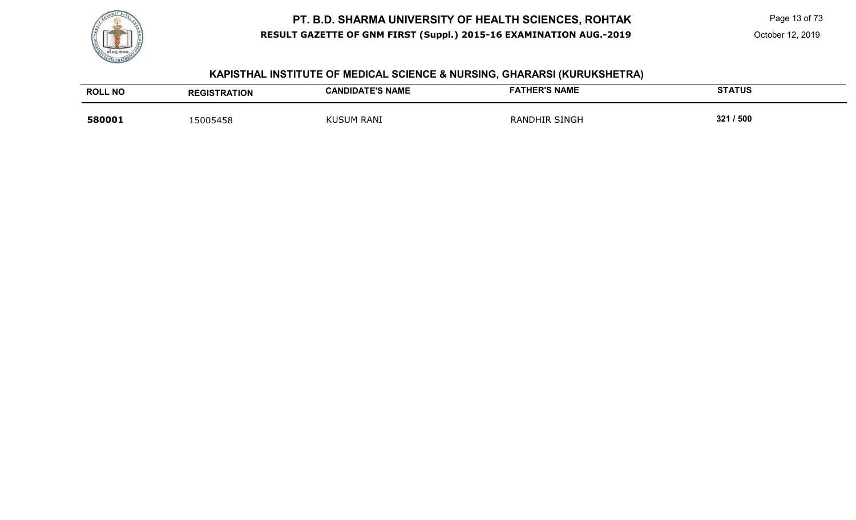

Page 13 of 73

#### **KAPISTHAL INSTITUTE OF MEDICAL SCIENCE & NURSING, GHARARSI (KURUKSHETRA)**

| <b>ROLL NO</b> | <b>REGISTRATION</b> | <b>CANDIDATE'S NAME</b> | <b>FATHER'S NAME</b> | <b>STATUS</b> |
|----------------|---------------------|-------------------------|----------------------|---------------|
| 580001         | 5005458             | <b>KUSUM RANI</b>       | <b>RANDHIR SINGH</b> | 321 / 500     |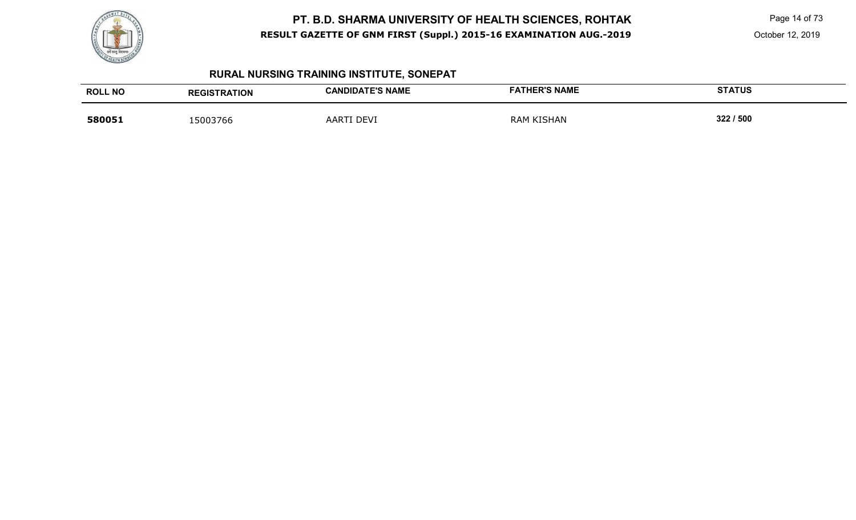

Page 14 of 73

# **RURAL NURSING TRAINING INSTITUTE, SONEPAT**

| <b>ROLL NO</b> | <b>REGISTRATION</b> | <b>CANDIDATE'S NAME</b> | <b>FATHER'S NAME</b> | <b>STATUS</b> |
|----------------|---------------------|-------------------------|----------------------|---------------|
| 580051         | 15003766            | DEVI<br><b>AART</b>     | RAM KISHAN           | 322 / 500     |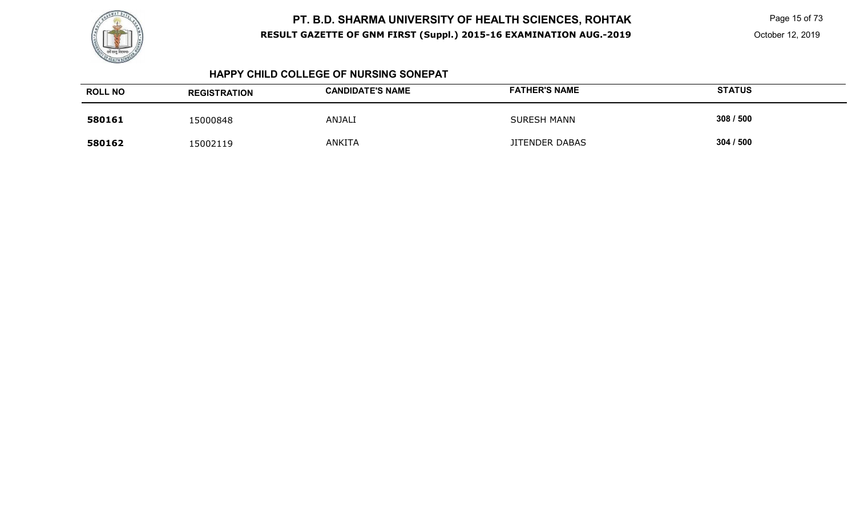

 Page 15 of 73 October 12, 2019

#### **HAPPY CHILD COLLEGE OF NURSING SONEPAT**

| <b>ROLL NO</b> | <b>REGISTRATION</b> | <b>CANDIDATE'S NAME</b> | <b>FATHER'S NAME</b>  | <b>STATUS</b> |
|----------------|---------------------|-------------------------|-----------------------|---------------|
| 580161         | 15000848            | <b>ANJALI</b>           | <b>SURESH MANN</b>    | 308 / 500     |
| 580162         | 15002119            | <b>ANKITA</b>           | <b>JITENDER DABAS</b> | 304 / 500     |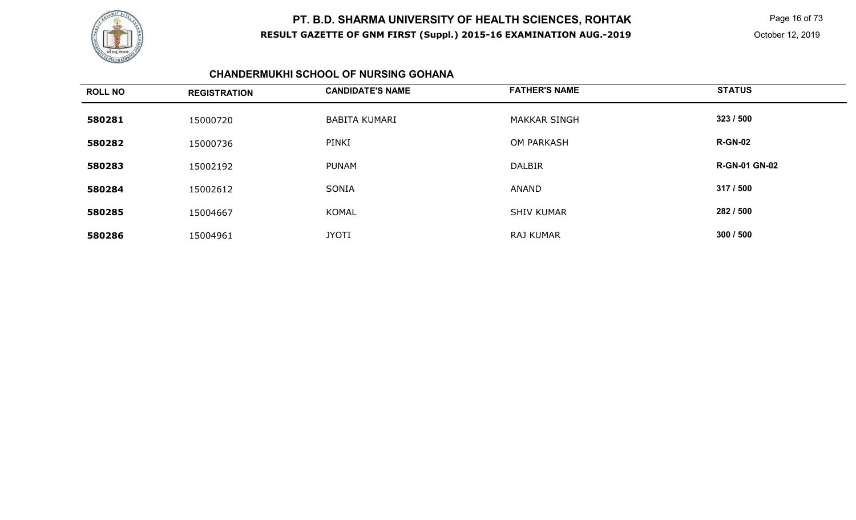

 Page 16 of 73 October 12, 2019

#### **CHANDERMUKHI SCHOOL OF NURSING GOHANA**

| <b>ROLL NO</b> | <b>REGISTRATION</b> | <b>CANDIDATE'S NAME</b> | <b>FATHER'S NAME</b> | <b>STATUS</b>        |
|----------------|---------------------|-------------------------|----------------------|----------------------|
| 580281         | 15000720            | BABITA KUMARI           | <b>MAKKAR SINGH</b>  | 323 / 500            |
| 580282         | 15000736            | PINKI                   | <b>OM PARKASH</b>    | <b>R-GN-02</b>       |
| 580283         | 15002192            | <b>PUNAM</b>            | <b>DALBIR</b>        | <b>R-GN-01 GN-02</b> |
| 580284         | 15002612            | SONIA                   | <b>ANAND</b>         | 317 / 500            |
| 580285         | 15004667            | <b>KOMAL</b>            | <b>SHIV KUMAR</b>    | 282 / 500            |
| 580286         | 15004961            | <b>JYOTI</b>            | <b>RAJ KUMAR</b>     | 300 / 500            |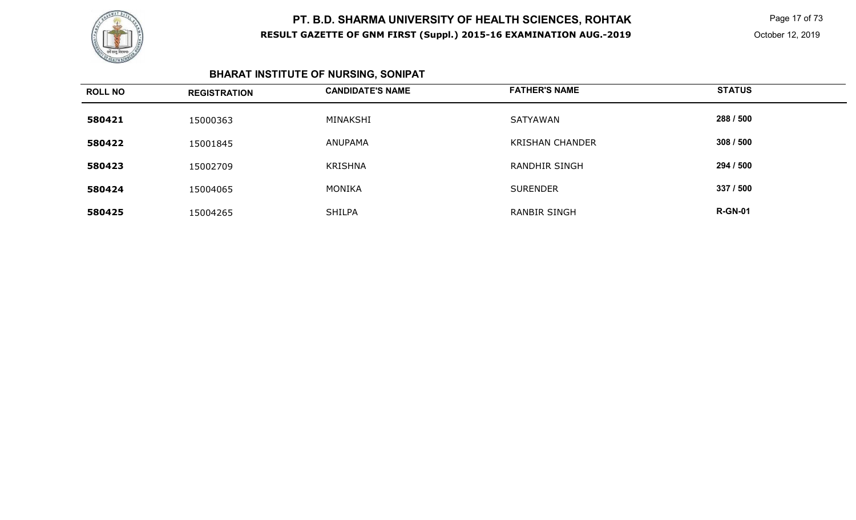

 Page 17 of 73 October 12, 2019

# **BHARAT INSTITUTE OF NURSING, SONIPAT**

| <b>ROLL NO</b> | <b>REGISTRATION</b> | <b>CANDIDATE'S NAME</b> | <b>FATHER'S NAME</b>   | <b>STATUS</b>  |
|----------------|---------------------|-------------------------|------------------------|----------------|
| 580421         | 15000363            | MINAKSHI                | SATYAWAN               | 288 / 500      |
| 580422         | 15001845            | ANUPAMA                 | <b>KRISHAN CHANDER</b> | 308 / 500      |
| 580423         | 15002709            | <b>KRISHNA</b>          | <b>RANDHIR SINGH</b>   | 294 / 500      |
| 580424         | 15004065            | MONIKA                  | <b>SURENDER</b>        | 337 / 500      |
| 580425         | 15004265            | <b>SHILPA</b>           | <b>RANBIR SINGH</b>    | <b>R-GN-01</b> |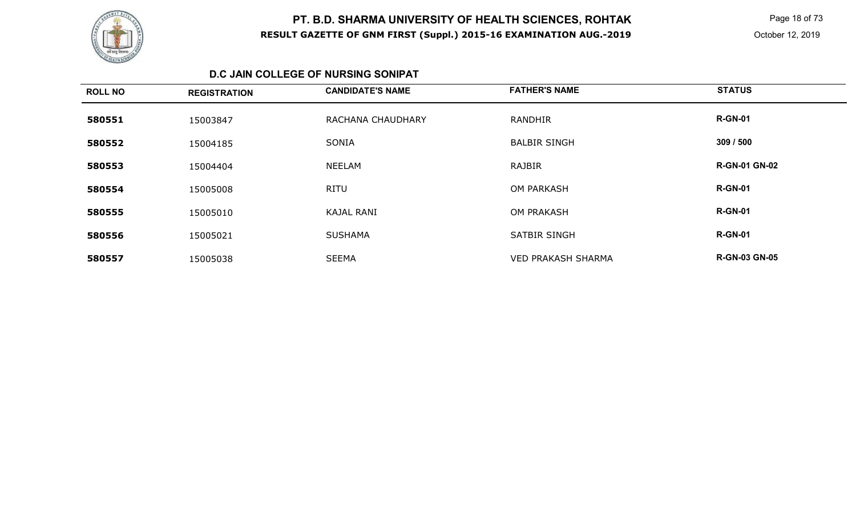

 Page 18 of 73 October 12, 2019

### **D.C JAIN COLLEGE OF NURSING SONIPAT**

| <b>ROLL NO</b> | <b>REGISTRATION</b> | <b>CANDIDATE'S NAME</b> | <b>FATHER'S NAME</b>      | <b>STATUS</b>        |
|----------------|---------------------|-------------------------|---------------------------|----------------------|
| 580551         | 15003847            | RACHANA CHAUDHARY       | <b>RANDHIR</b>            | <b>R-GN-01</b>       |
| 580552         | 15004185            | <b>SONIA</b>            | <b>BALBIR SINGH</b>       | 309 / 500            |
| 580553         | 15004404            | <b>NEELAM</b>           | RAJBIR                    | <b>R-GN-01 GN-02</b> |
| 580554         | 15005008            | <b>RITU</b>             | <b>OM PARKASH</b>         | <b>R-GN-01</b>       |
| 580555         | 15005010            | <b>KAJAL RANI</b>       | <b>OM PRAKASH</b>         | <b>R-GN-01</b>       |
| 580556         | 15005021            | <b>SUSHAMA</b>          | <b>SATBIR SINGH</b>       | <b>R-GN-01</b>       |
| 580557         | 15005038            | <b>SEEMA</b>            | <b>VED PRAKASH SHARMA</b> | <b>R-GN-03 GN-05</b> |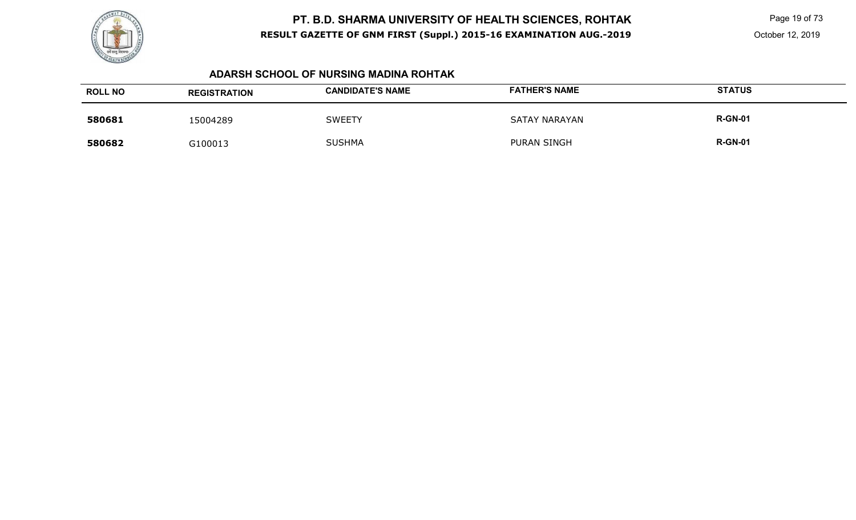

 Page 19 of 73 October 12, 2019

#### **ADARSH SCHOOL OF NURSING MADINA ROHTAK**

| <b>ROLL NO</b> | <b>REGISTRATION</b> | <b>CANDIDATE'S NAME</b> | <b>FATHER'S NAME</b> | <b>STATUS</b>  |
|----------------|---------------------|-------------------------|----------------------|----------------|
| 580681         | 15004289            | <b>SWEETY</b>           | <b>SATAY NARAYAN</b> | <b>R-GN-01</b> |
| 580682         | G100013             | <b>SUSHMA</b>           | <b>PURAN SINGH</b>   | <b>R-GN-01</b> |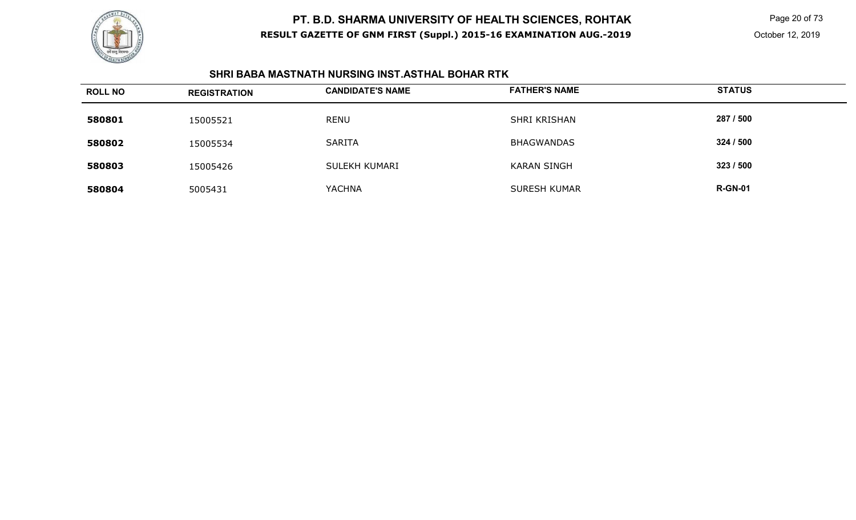

 Page 20 of 73 October 12, 2019

### **SHRI BABA MASTNATH NURSING INST.ASTHAL BOHAR RTK**

| <b>ROLL NO</b> | <b>REGISTRATION</b> | <b>CANDIDATE'S NAME</b> | <b>FATHER'S NAME</b> | <b>STATUS</b>  |
|----------------|---------------------|-------------------------|----------------------|----------------|
| 580801         | 15005521            | <b>RENU</b>             | SHRI KRISHAN         | 287 / 500      |
| 580802         | 15005534            | <b>SARITA</b>           | <b>BHAGWANDAS</b>    | 324 / 500      |
| 580803         | 15005426            | SULEKH KUMARI           | <b>KARAN SINGH</b>   | 323 / 500      |
| 580804         | 5005431             | <b>YACHNA</b>           | <b>SURESH KUMAR</b>  | <b>R-GN-01</b> |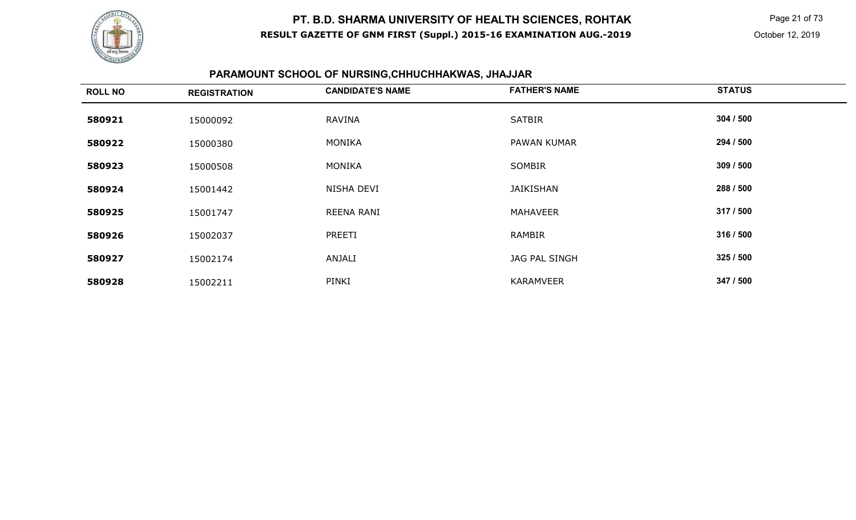

 Page 21 of 73 October 12, 2019

# **PARAMOUNT SCHOOL OF NURSING,CHHUCHHAKWAS, JHAJJAR**

| <b>ROLL NO</b> | <b>REGISTRATION</b> | <b>CANDIDATE'S NAME</b> | <b>FATHER'S NAME</b> | <b>STATUS</b> |
|----------------|---------------------|-------------------------|----------------------|---------------|
| 580921         | 15000092            | <b>RAVINA</b>           | <b>SATBIR</b>        | 304 / 500     |
| 580922         | 15000380            | MONIKA                  | PAWAN KUMAR          | 294 / 500     |
| 580923         | 15000508            | MONIKA                  | SOMBIR               | 309 / 500     |
| 580924         | 15001442            | NISHA DEVI              | <b>JAIKISHAN</b>     | 288 / 500     |
| 580925         | 15001747            | <b>REENA RANI</b>       | <b>MAHAVEER</b>      | 317 / 500     |
| 580926         | 15002037            | PREETI                  | RAMBIR               | 316 / 500     |
| 580927         | 15002174            | ANJALI                  | JAG PAL SINGH        | 325/500       |
| 580928         | 15002211            | PINKI                   | <b>KARAMVEER</b>     | 347 / 500     |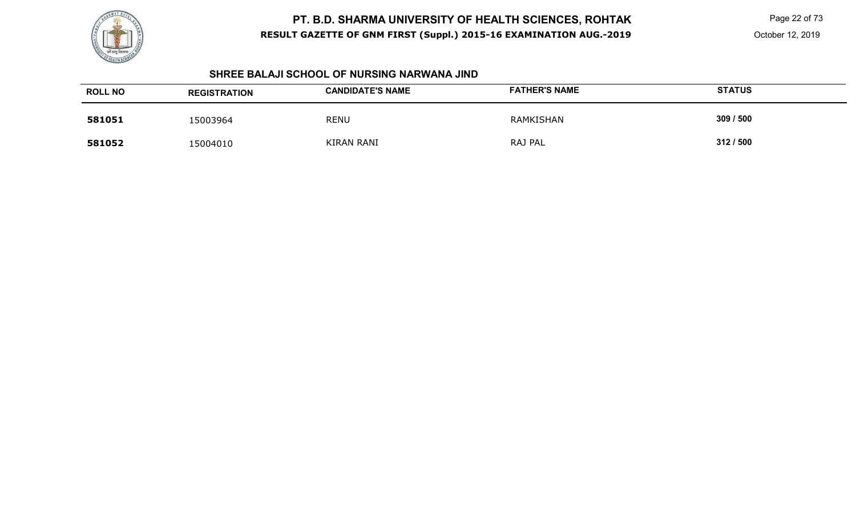

Page 22 of 73

October 12, 2019

#### **SHREE BALAJI SCHOOL OF NURSING NARWANA JIND**

| <b>ROLL NO</b> | <b>REGISTRATION</b> | <b>CANDIDATE'S NAME</b> | <b>FATHER'S NAME</b> | <b>STATUS</b> |
|----------------|---------------------|-------------------------|----------------------|---------------|
| 581051         | 15003964            | <b>RENU</b>             | RAMKISHAN            | 309 / 500     |
| 581052         | 15004010            | <b>KIRAN RANI</b>       | RAJ PAL              | 312/500       |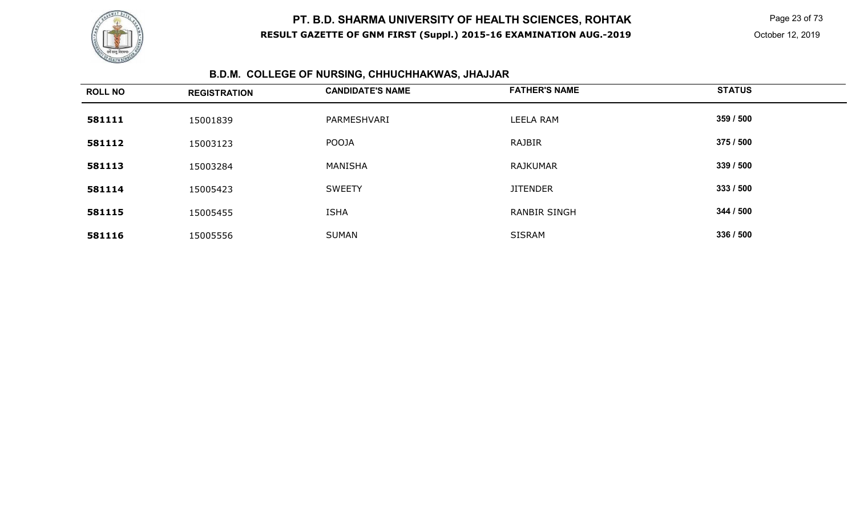

 Page 23 of 73 October 12, 2019

# **B.D.M. COLLEGE OF NURSING, CHHUCHHAKWAS, JHAJJAR**

| <b>ROLL NO</b> | <b>REGISTRATION</b> | <b>CANDIDATE'S NAME</b> | <b>FATHER'S NAME</b> | <b>STATUS</b> |
|----------------|---------------------|-------------------------|----------------------|---------------|
| 581111         | 15001839            | PARMESHVARI             | <b>LEELA RAM</b>     | 359 / 500     |
| 581112         | 15003123            | <b>POOJA</b>            | RAJBIR               | 375 / 500     |
| 581113         | 15003284            | MANISHA                 | <b>RAJKUMAR</b>      | 339 / 500     |
| 581114         | 15005423            | <b>SWEETY</b>           | <b>JITENDER</b>      | 333 / 500     |
| 581115         | 15005455            | <b>ISHA</b>             | <b>RANBIR SINGH</b>  | 344 / 500     |
| 581116         | 15005556            | <b>SUMAN</b>            | <b>SISRAM</b>        | 336 / 500     |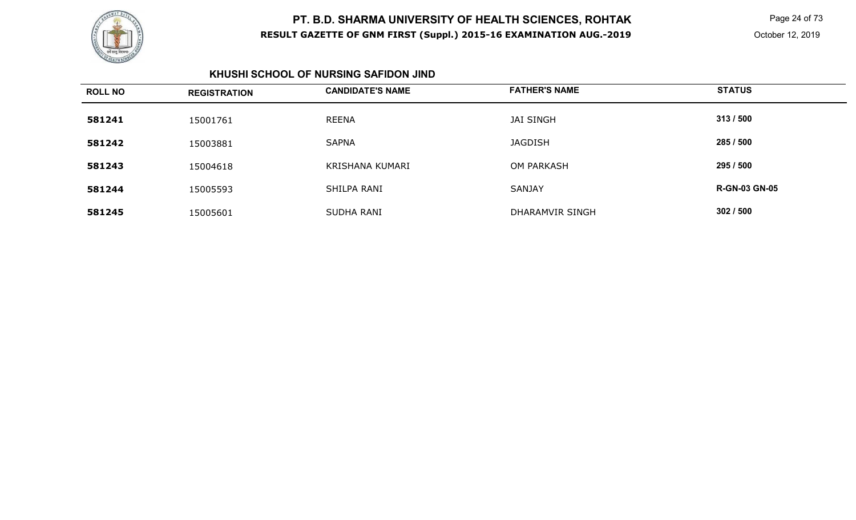

 Page 24 of 73 October 12, 2019

### **KHUSHI SCHOOL OF NURSING SAFIDON JIND**

| <b>ROLL NO</b> | <b>REGISTRATION</b> | <b>CANDIDATE'S NAME</b> | <b>FATHER'S NAME</b> | <b>STATUS</b>        |
|----------------|---------------------|-------------------------|----------------------|----------------------|
| 581241         | 15001761            | <b>REENA</b>            | <b>JAI SINGH</b>     | 313/500              |
| 581242         | 15003881            | <b>SAPNA</b>            | <b>JAGDISH</b>       | 285 / 500            |
| 581243         | 15004618            | KRISHANA KUMARI         | OM PARKASH           | 295 / 500            |
| 581244         | 15005593            | SHILPA RANI             | <b>SANJAY</b>        | <b>R-GN-03 GN-05</b> |
| 581245         | 15005601            | SUDHA RANI              | DHARAMVIR SINGH      | 302/500              |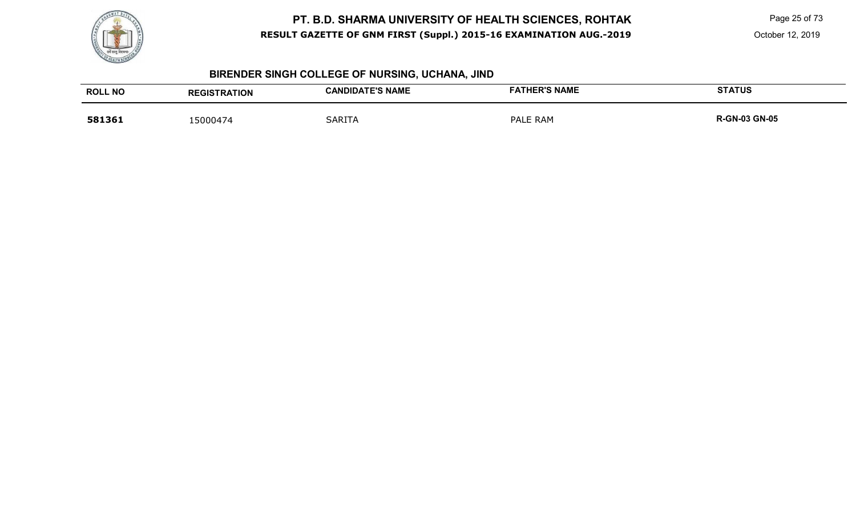

Page 25 of 73

# **BIRENDER SINGH COLLEGE OF NURSING, UCHANA, JIND**

| <b>ROLL NO</b> | <b>REGISTRATION</b> | <b>CANDIDATE'S NAME</b> | <b>FATHER'S NAME</b> | <b>STATUS</b>        |
|----------------|---------------------|-------------------------|----------------------|----------------------|
| 581361         | 5000474             | <b>SARITA</b>           | PALE RAM             | <b>R-GN-03 GN-05</b> |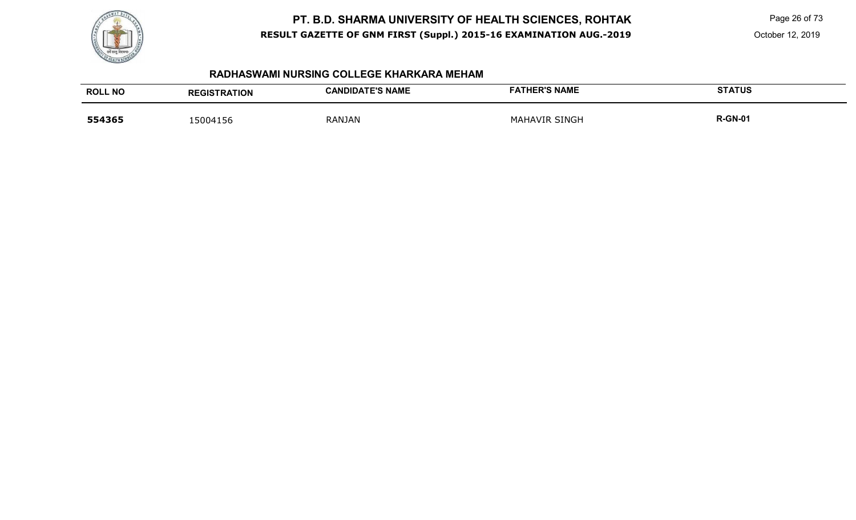

Page 26 of 73

October 12, 2019

#### **RADHASWAMI NURSING COLLEGE KHARKARA MEHAM**

| <b>ROLL NO</b> | <b>REGISTRATION</b> | <b>CANDIDATE'S NAME</b> | <b>FATHER'S NAME</b> | <b>STATUS</b>  |
|----------------|---------------------|-------------------------|----------------------|----------------|
| 554365         | 15004156            | <b>RANJAN</b>           | <b>MAHAVIR SINGH</b> | <b>R-GN-01</b> |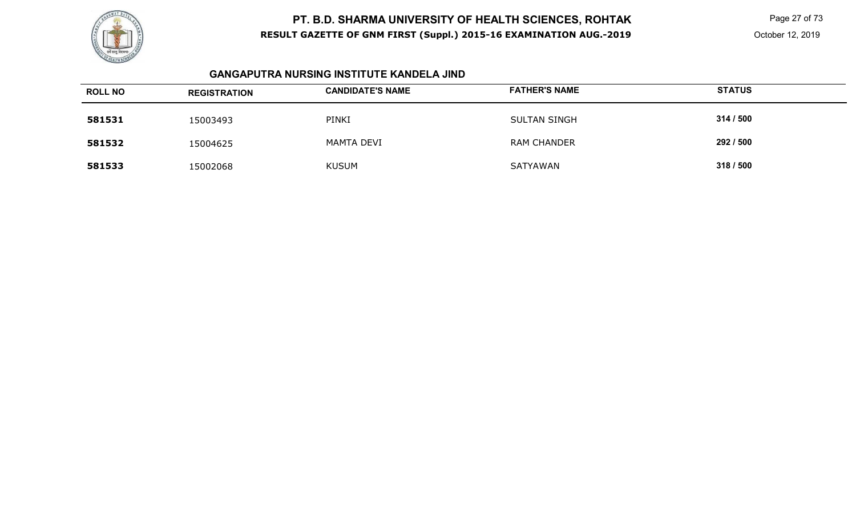

 Page 27 of 73 October 12, 2019

### **GANGAPUTRA NURSING INSTITUTE KANDELA JIND**

| <b>ROLL NO</b> | <b>REGISTRATION</b> | <b>CANDIDATE'S NAME</b> | <b>FATHER'S NAME</b> | <b>STATUS</b> |
|----------------|---------------------|-------------------------|----------------------|---------------|
| 581531         | 15003493            | PINKI                   | <b>SULTAN SINGH</b>  | 314 / 500     |
| 581532         | 15004625            | MAMTA DEVI              | <b>RAM CHANDER</b>   | 292 / 500     |
| 581533         | 15002068            | <b>KUSUM</b>            | SATYAWAN             | 318 / 500     |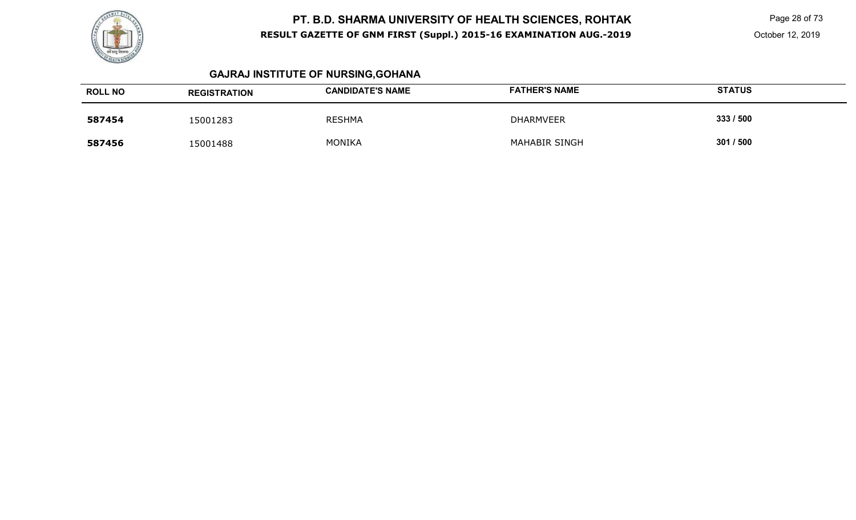

 Page 28 of 73 October 12, 2019

# **GAJRAJ INSTITUTE OF NURSING,GOHANA**

| <b>ROLL NO</b> | <b>REGISTRATION</b> | <b>CANDIDATE'S NAME</b> | <b>FATHER'S NAME</b> | <b>STATUS</b> |
|----------------|---------------------|-------------------------|----------------------|---------------|
| 587454         | 15001283            | <b>RESHMA</b>           | <b>DHARMVEER</b>     | 333 / 500     |
| 587456         | 15001488            | <b>MONIKA</b>           | <b>MAHABIR SINGH</b> | 301 / 500     |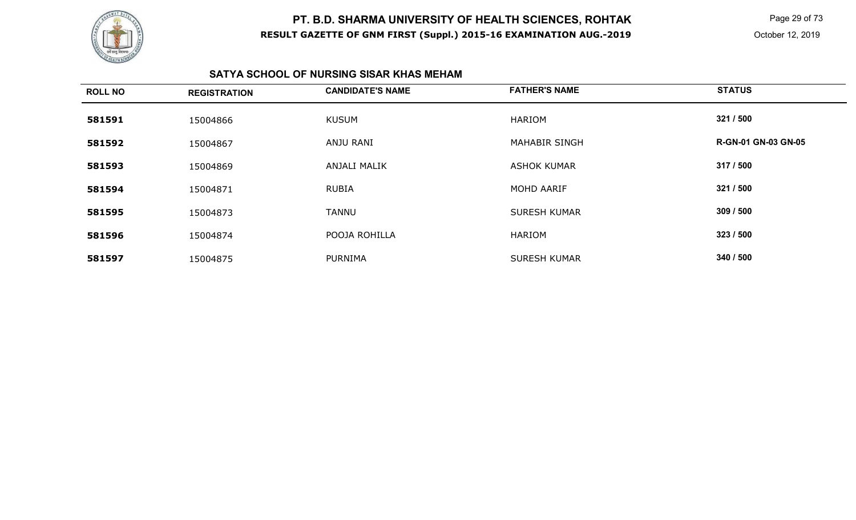

 Page 29 of 73 October 12, 2019

### **SATYA SCHOOL OF NURSING SISAR KHAS MEHAM**

| <b>ROLL NO</b> | <b>REGISTRATION</b> | <b>CANDIDATE'S NAME</b> | <b>FATHER'S NAME</b> | <b>STATUS</b>              |
|----------------|---------------------|-------------------------|----------------------|----------------------------|
| 581591         | 15004866            | <b>KUSUM</b>            | <b>HARIOM</b>        | 321 / 500                  |
| 581592         | 15004867            | ANJU RANI               | <b>MAHABIR SINGH</b> | <b>R-GN-01 GN-03 GN-05</b> |
| 581593         | 15004869            | ANJALI MALIK            | <b>ASHOK KUMAR</b>   | 317 / 500                  |
| 581594         | 15004871            | <b>RUBIA</b>            | MOHD AARIF           | 321 / 500                  |
| 581595         | 15004873            | <b>TANNU</b>            | <b>SURESH KUMAR</b>  | 309 / 500                  |
| 581596         | 15004874            | POOJA ROHILLA           | <b>HARIOM</b>        | 323 / 500                  |
| 581597         | 15004875            | <b>PURNIMA</b>          | <b>SURESH KUMAR</b>  | 340 / 500                  |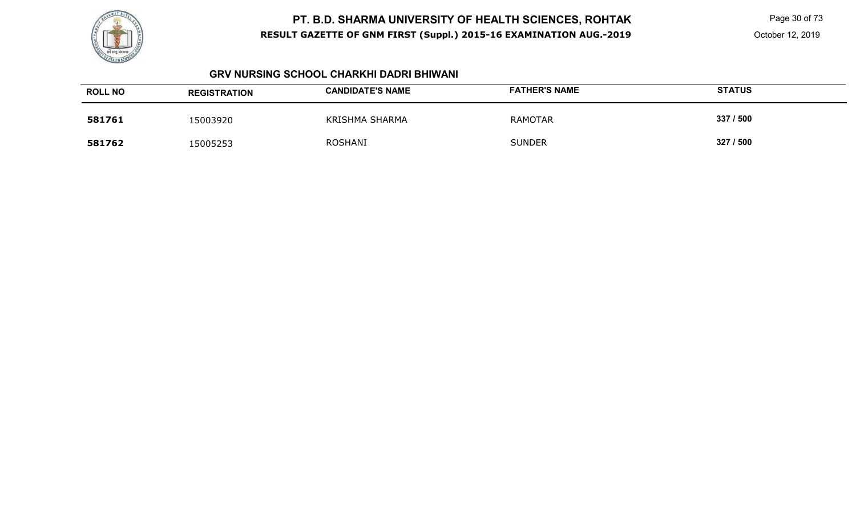

Page 30 of 73

#### **GRV NURSING SCHOOL CHARKHI DADRI BHIWANI**

| <b>ROLL NO</b> | <b>REGISTRATION</b> | <b>CANDIDATE'S NAME</b> | <b>FATHER'S NAME</b> | <b>STATUS</b> |
|----------------|---------------------|-------------------------|----------------------|---------------|
| 581761         | 15003920            | KRISHMA SHARMA          | RAMOTAR              | 337 / 500     |
| 581762         | 15005253            | <b>ROSHANI</b>          | <b>SUNDER</b>        | 327 / 500     |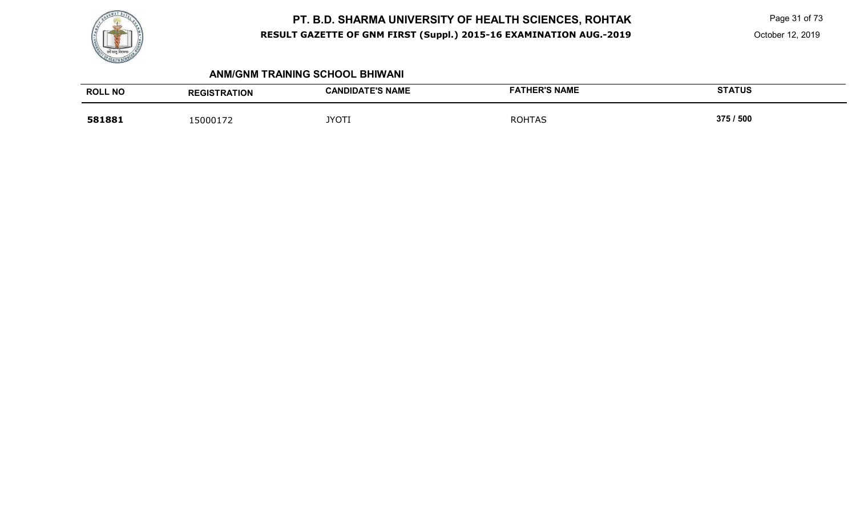

 Page 31 of 73 October 12, 2019

#### **ANM/GNM TRAINING SCHOOL BHIWANI**

| <b>ROLL NO</b> | <b>REGISTRATION</b> | <b>CANDIDATE'S NAME</b> | <b>FATHER'S NAME</b> | <b>STATUS</b> |
|----------------|---------------------|-------------------------|----------------------|---------------|
| 581881         | 15000172            | <b>JYOTI</b>            | <b>ROHTAS</b>        | 375 / 500     |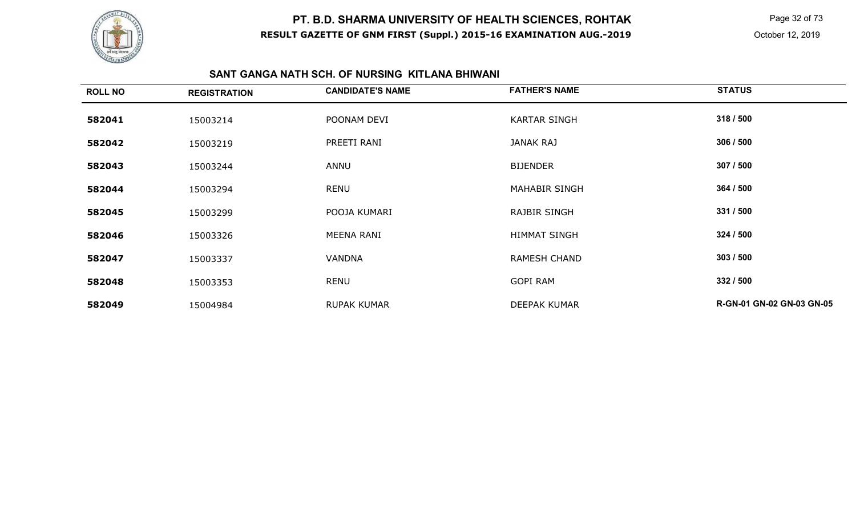

 Page 32 of 73 October 12, 2019

### **SANT GANGA NATH SCH. OF NURSING KITLANA BHIWANI**

| <b>ROLL NO</b> | <b>REGISTRATION</b> | <b>CANDIDATE'S NAME</b> | <b>FATHER'S NAME</b> | <b>STATUS</b>             |
|----------------|---------------------|-------------------------|----------------------|---------------------------|
| 582041         | 15003214            | POONAM DEVI             | <b>KARTAR SINGH</b>  | 318 / 500                 |
| 582042         | 15003219            | PREETI RANI             | JANAK RAJ            | 306 / 500                 |
| 582043         | 15003244            | ANNU                    | <b>BIJENDER</b>      | 307 / 500                 |
| 582044         | 15003294            | <b>RENU</b>             | <b>MAHABIR SINGH</b> | 364 / 500                 |
| 582045         | 15003299            | POOJA KUMARI            | <b>RAJBIR SINGH</b>  | 331 / 500                 |
| 582046         | 15003326            | MEENA RANI              | <b>HIMMAT SINGH</b>  | 324 / 500                 |
| 582047         | 15003337            | <b>VANDNA</b>           | <b>RAMESH CHAND</b>  | 303/500                   |
| 582048         | 15003353            | <b>RENU</b>             | <b>GOPI RAM</b>      | 332 / 500                 |
| 582049         | 15004984            | <b>RUPAK KUMAR</b>      | <b>DEEPAK KUMAR</b>  | R-GN-01 GN-02 GN-03 GN-05 |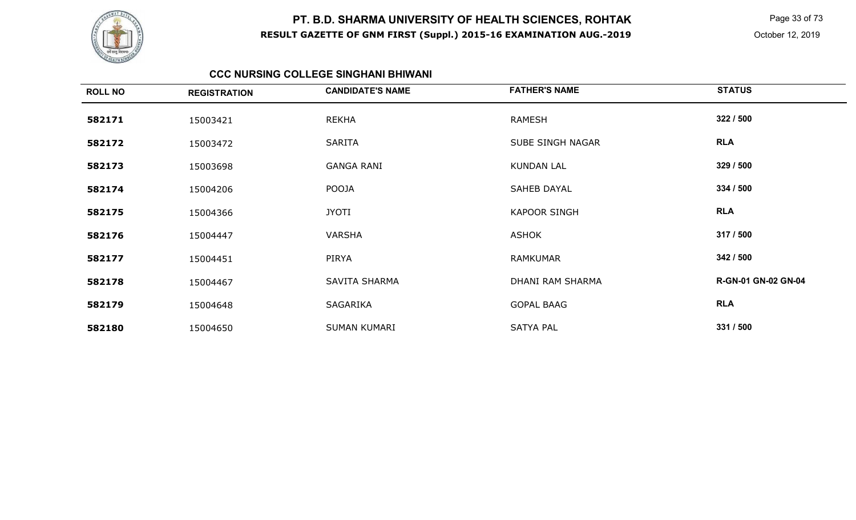

 Page 33 of 73 October 12, 2019

#### **CCC NURSING COLLEGE SINGHANI BHIWANI**

| <b>ROLL NO</b> | <b>REGISTRATION</b> | <b>CANDIDATE'S NAME</b> | <b>FATHER'S NAME</b> | <b>STATUS</b>       |
|----------------|---------------------|-------------------------|----------------------|---------------------|
| 582171         | 15003421            | <b>REKHA</b>            | RAMESH               | 322 / 500           |
| 582172         | 15003472            | <b>SARITA</b>           | SUBE SINGH NAGAR     | <b>RLA</b>          |
| 582173         | 15003698            | <b>GANGA RANI</b>       | <b>KUNDAN LAL</b>    | 329 / 500           |
| 582174         | 15004206            | <b>POOJA</b>            | <b>SAHEB DAYAL</b>   | 334 / 500           |
| 582175         | 15004366            | <b>JYOTI</b>            | <b>KAPOOR SINGH</b>  | <b>RLA</b>          |
| 582176         | 15004447            | <b>VARSHA</b>           | <b>ASHOK</b>         | 317 / 500           |
| 582177         | 15004451            | PIRYA                   | <b>RAMKUMAR</b>      | 342 / 500           |
| 582178         | 15004467            | SAVITA SHARMA           | DHANI RAM SHARMA     | R-GN-01 GN-02 GN-04 |
| 582179         | 15004648            | SAGARIKA                | <b>GOPAL BAAG</b>    | <b>RLA</b>          |
| 582180         | 15004650            | <b>SUMAN KUMARI</b>     | <b>SATYA PAL</b>     | 331 / 500           |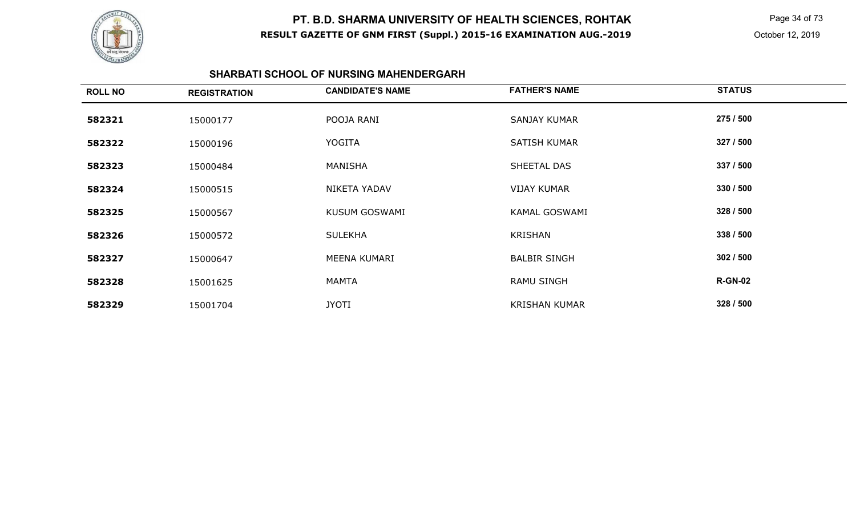

 Page 34 of 73 October 12, 2019

#### **SHARBATI SCHOOL OF NURSING MAHENDERGARH**

| <b>ROLL NO</b> | <b>REGISTRATION</b> | <b>CANDIDATE'S NAME</b> | <b>FATHER'S NAME</b> | <b>STATUS</b>  |
|----------------|---------------------|-------------------------|----------------------|----------------|
| 582321         | 15000177            | POOJA RANI              | <b>SANJAY KUMAR</b>  | 275 / 500      |
| 582322         | 15000196            | <b>YOGITA</b>           | SATISH KUMAR         | 327 / 500      |
| 582323         | 15000484            | MANISHA                 | SHEETAL DAS          | 337 / 500      |
| 582324         | 15000515            | NIKETA YADAV            | <b>VIJAY KUMAR</b>   | 330 / 500      |
| 582325         | 15000567            | <b>KUSUM GOSWAMI</b>    | <b>KAMAL GOSWAMI</b> | 328 / 500      |
| 582326         | 15000572            | <b>SULEKHA</b>          | <b>KRISHAN</b>       | 338 / 500      |
| 582327         | 15000647            | MEENA KUMARI            | <b>BALBIR SINGH</b>  | 302 / 500      |
| 582328         | 15001625            | <b>MAMTA</b>            | <b>RAMU SINGH</b>    | <b>R-GN-02</b> |
| 582329         | 15001704            | <b>JYOTI</b>            | <b>KRISHAN KUMAR</b> | 328 / 500      |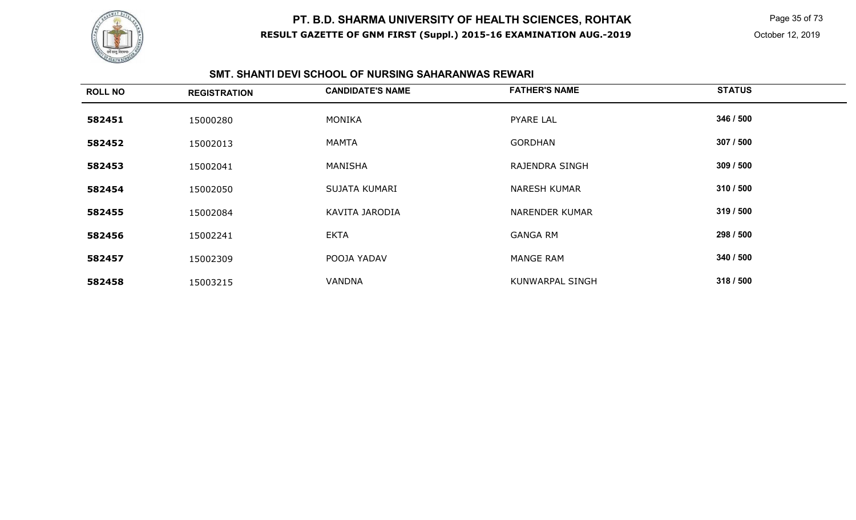

 Page 35 of 73 October 12, 2019

### **SMT. SHANTI DEVI SCHOOL OF NURSING SAHARANWAS REWARI**

| <b>ROLL NO</b> | <b>REGISTRATION</b> | <b>CANDIDATE'S NAME</b> | <b>FATHER'S NAME</b>   | <b>STATUS</b> |
|----------------|---------------------|-------------------------|------------------------|---------------|
| 582451         | 15000280            | <b>MONIKA</b>           | PYARE LAL              | 346 / 500     |
| 582452         | 15002013            | MAMTA                   | <b>GORDHAN</b>         | 307 / 500     |
| 582453         | 15002041            | MANISHA                 | <b>RAJENDRA SINGH</b>  | 309 / 500     |
| 582454         | 15002050            | SUJATA KUMARI           | <b>NARESH KUMAR</b>    | 310 / 500     |
| 582455         | 15002084            | KAVITA JARODIA          | <b>NARENDER KUMAR</b>  | 319 / 500     |
| 582456         | 15002241            | <b>EKTA</b>             | <b>GANGA RM</b>        | 298 / 500     |
| 582457         | 15002309            | POOJA YADAV             | <b>MANGE RAM</b>       | 340 / 500     |
| 582458         | 15003215            | <b>VANDNA</b>           | <b>KUNWARPAL SINGH</b> | 318 / 500     |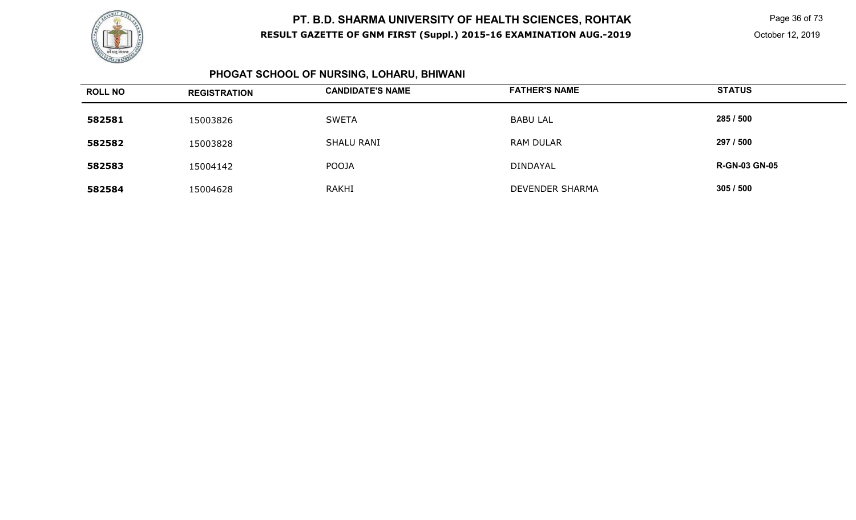

 Page 36 of 73 October 12, 2019

#### **PHOGAT SCHOOL OF NURSING, LOHARU, BHIWANI**

| <b>ROLL NO</b> | <b>REGISTRATION</b> | <b>CANDIDATE'S NAME</b> | <b>FATHER'S NAME</b>   | <b>STATUS</b>        |
|----------------|---------------------|-------------------------|------------------------|----------------------|
| 582581         | 15003826            | <b>SWETA</b>            | <b>BABU LAL</b>        | 285 / 500            |
| 582582         | 15003828            | <b>SHALU RANI</b>       | <b>RAM DULAR</b>       | 297 / 500            |
| 582583         | 15004142            | <b>POOJA</b>            | DINDAYAL               | <b>R-GN-03 GN-05</b> |
| 582584         | 15004628            | <b>RAKHI</b>            | <b>DEVENDER SHARMA</b> | 305 / 500            |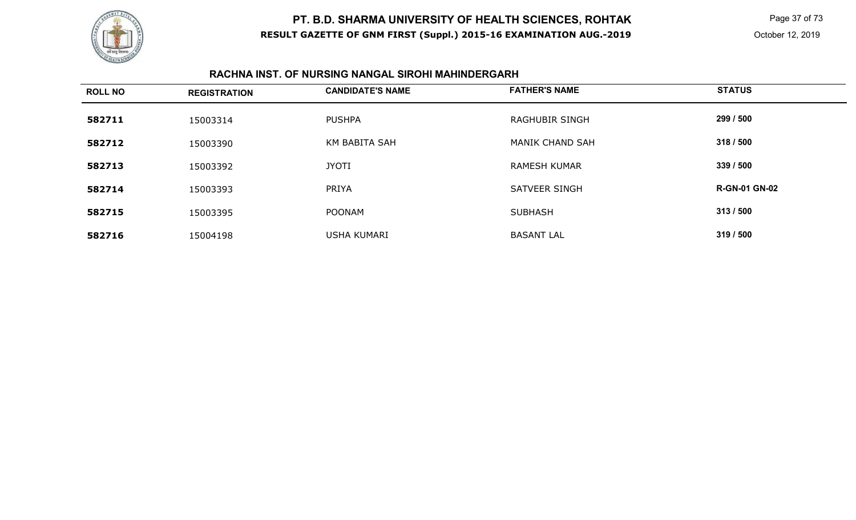

 Page 37 of 73 October 12, 2019

#### **RACHNA INST. OF NURSING NANGAL SIROHI MAHINDERGARH**

| <b>ROLL NO</b> | <b>REGISTRATION</b> | <b>CANDIDATE'S NAME</b> | <b>FATHER'S NAME</b>  | <b>STATUS</b>        |
|----------------|---------------------|-------------------------|-----------------------|----------------------|
| 582711         | 15003314            | <b>PUSHPA</b>           | <b>RAGHUBIR SINGH</b> | 299 / 500            |
| 582712         | 15003390            | KM BABITA SAH           | MANIK CHAND SAH       | 318 / 500            |
| 582713         | 15003392            | <b>JYOTI</b>            | <b>RAMESH KUMAR</b>   | 339 / 500            |
| 582714         | 15003393            | <b>PRIYA</b>            | <b>SATVEER SINGH</b>  | <b>R-GN-01 GN-02</b> |
| 582715         | 15003395            | <b>POONAM</b>           | <b>SUBHASH</b>        | 313/500              |
| 582716         | 15004198            | <b>USHA KUMARI</b>      | <b>BASANT LAL</b>     | 319 / 500            |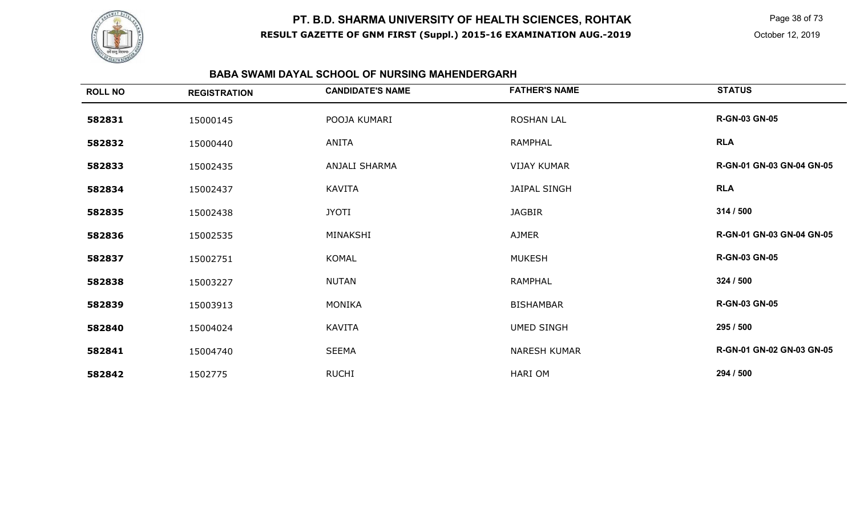

 Page 38 of 73 October 12, 2019

#### **BABA SWAMI DAYAL SCHOOL OF NURSING MAHENDERGARH**

| <b>ROLL NO</b> | <b>REGISTRATION</b> | <b>CANDIDATE'S NAME</b> | <b>FATHER'S NAME</b> | <b>STATUS</b>             |
|----------------|---------------------|-------------------------|----------------------|---------------------------|
| 582831         | 15000145            | POOJA KUMARI            | <b>ROSHAN LAL</b>    | <b>R-GN-03 GN-05</b>      |
| 582832         | 15000440            | ANITA                   | <b>RAMPHAL</b>       | <b>RLA</b>                |
| 582833         | 15002435            | <b>ANJALI SHARMA</b>    | <b>VIJAY KUMAR</b>   | R-GN-01 GN-03 GN-04 GN-05 |
| 582834         | 15002437            | KAVITA                  | JAIPAL SINGH         | <b>RLA</b>                |
| 582835         | 15002438            | <b>JYOTI</b>            | <b>JAGBIR</b>        | 314 / 500                 |
| 582836         | 15002535            | MINAKSHI                | AJMER                | R-GN-01 GN-03 GN-04 GN-05 |
| 582837         | 15002751            | KOMAL                   | <b>MUKESH</b>        | <b>R-GN-03 GN-05</b>      |
| 582838         | 15003227            | <b>NUTAN</b>            | RAMPHAL              | 324 / 500                 |
| 582839         | 15003913            | <b>MONIKA</b>           | <b>BISHAMBAR</b>     | <b>R-GN-03 GN-05</b>      |
| 582840         | 15004024            | <b>KAVITA</b>           | <b>UMED SINGH</b>    | 295 / 500                 |
| 582841         | 15004740            | <b>SEEMA</b>            | <b>NARESH KUMAR</b>  | R-GN-01 GN-02 GN-03 GN-05 |
| 582842         | 1502775             | <b>RUCHI</b>            | HARI OM              | 294 / 500                 |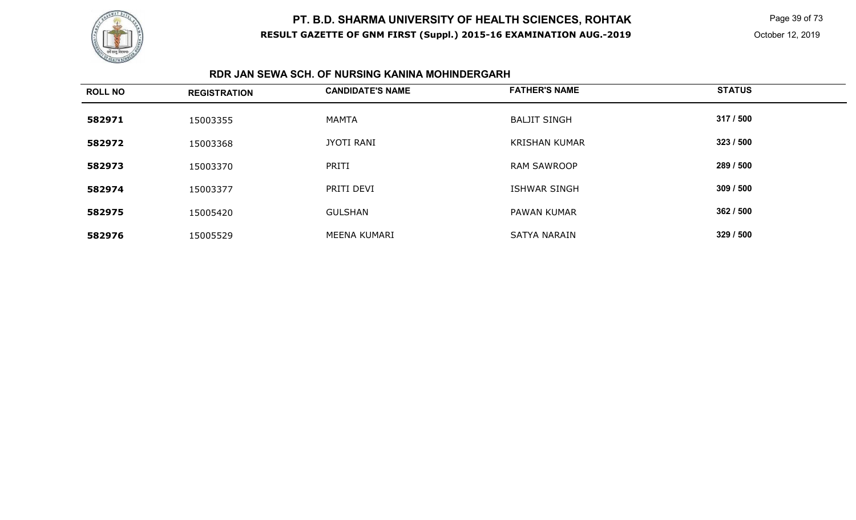

 Page 39 of 73 October 12, 2019

#### **RDR JAN SEWA SCH. OF NURSING KANINA MOHINDERGARH**

| <b>ROLL NO</b> | <b>REGISTRATION</b> | <b>CANDIDATE'S NAME</b> | <b>FATHER'S NAME</b> | <b>STATUS</b> |
|----------------|---------------------|-------------------------|----------------------|---------------|
| 582971         | 15003355            | <b>MAMTA</b>            | <b>BALJIT SINGH</b>  | 317 / 500     |
| 582972         | 15003368            | <b>JYOTI RANI</b>       | <b>KRISHAN KUMAR</b> | 323 / 500     |
| 582973         | 15003370            | PRITI                   | <b>RAM SAWROOP</b>   | 289 / 500     |
| 582974         | 15003377            | PRITI DEVI              | <b>ISHWAR SINGH</b>  | 309 / 500     |
| 582975         | 15005420            | <b>GULSHAN</b>          | PAWAN KUMAR          | 362 / 500     |
| 582976         | 15005529            | MEENA KUMARI            | <b>SATYA NARAIN</b>  | 329 / 500     |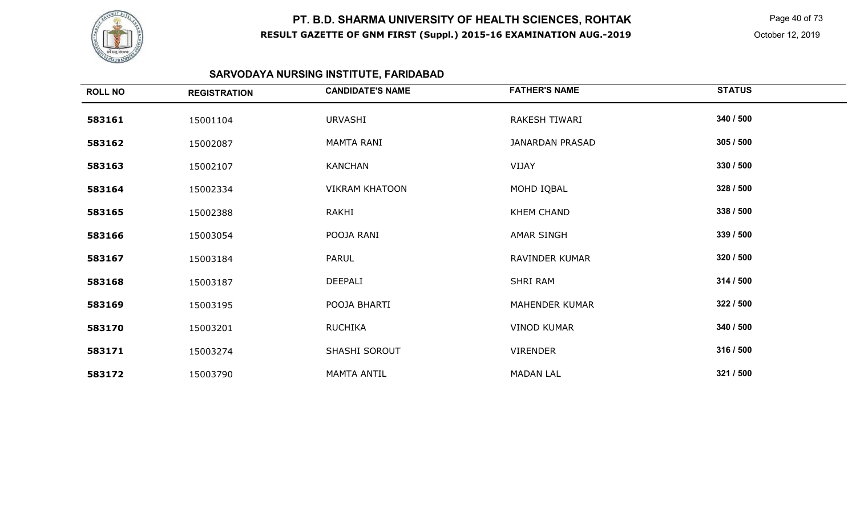

 Page 40 of 73 October 12, 2019

# **SARVODAYA NURSING INSTITUTE, FARIDABAD**

| <b>ROLL NO</b> | <b>REGISTRATION</b> | <b>CANDIDATE'S NAME</b> | <b>FATHER'S NAME</b>  | <b>STATUS</b> |
|----------------|---------------------|-------------------------|-----------------------|---------------|
| 583161         | 15001104            | URVASHI                 | RAKESH TIWARI         | 340 / 500     |
| 583162         | 15002087            | <b>MAMTA RANI</b>       | JANARDAN PRASAD       | 305 / 500     |
| 583163         | 15002107            | KANCHAN                 | VIJAY                 | 330 / 500     |
| 583164         | 15002334            | <b>VIKRAM KHATOON</b>   | MOHD IQBAL            | 328 / 500     |
| 583165         | 15002388            | RAKHI                   | <b>KHEM CHAND</b>     | 338 / 500     |
| 583166         | 15003054            | POOJA RANI              | AMAR SINGH            | 339 / 500     |
| 583167         | 15003184            | PARUL                   | RAVINDER KUMAR        | 320 / 500     |
| 583168         | 15003187            | DEEPALI                 | SHRI RAM              | 314 / 500     |
| 583169         | 15003195            | POOJA BHARTI            | <b>MAHENDER KUMAR</b> | 322 / 500     |
| 583170         | 15003201            | <b>RUCHIKA</b>          | <b>VINOD KUMAR</b>    | 340 / 500     |
| 583171         | 15003274            | SHASHI SOROUT           | <b>VIRENDER</b>       | 316 / 500     |
| 583172         | 15003790            | <b>MAMTA ANTIL</b>      | <b>MADAN LAL</b>      | 321 / 500     |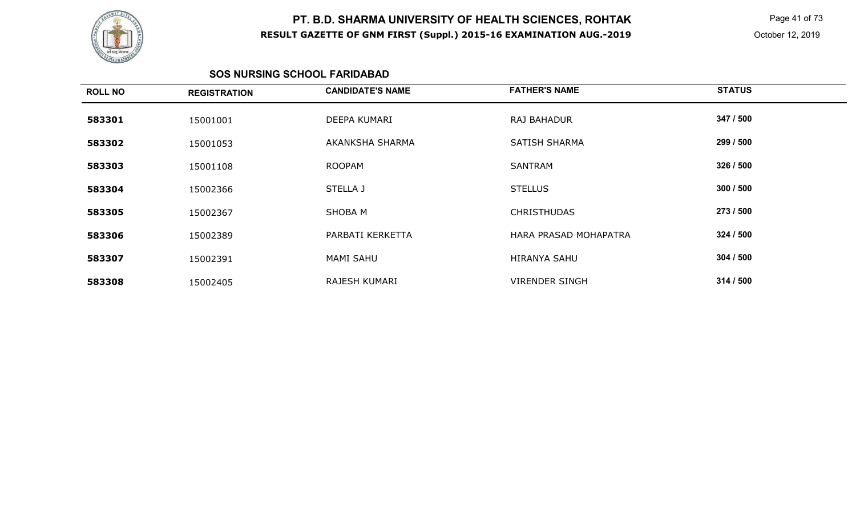

 Page 41 of 73 October 12, 2019

#### **SOS NURSING SCHOOL FARIDABAD**

| <b>ROLL NO</b> | <b>REGISTRATION</b> | <b>CANDIDATE'S NAME</b> | <b>FATHER'S NAME</b>  | <b>STATUS</b> |
|----------------|---------------------|-------------------------|-----------------------|---------------|
| 583301         | 15001001            | DEEPA KUMARI            | RAJ BAHADUR           | 347 / 500     |
| 583302         | 15001053            | AKANKSHA SHARMA         | <b>SATISH SHARMA</b>  | 299 / 500     |
| 583303         | 15001108            | <b>ROOPAM</b>           | <b>SANTRAM</b>        | 326 / 500     |
| 583304         | 15002366            | STELLA J                | <b>STELLUS</b>        | 300 / 500     |
| 583305         | 15002367            | SHOBA M                 | <b>CHRISTHUDAS</b>    | 273 / 500     |
| 583306         | 15002389            | PARBATI KERKETTA        | HARA PRASAD MOHAPATRA | 324 / 500     |
| 583307         | 15002391            | <b>MAMI SAHU</b>        | <b>HIRANYA SAHU</b>   | 304 / 500     |
| 583308         | 15002405            | RAJESH KUMARI           | <b>VIRENDER SINGH</b> | 314/500       |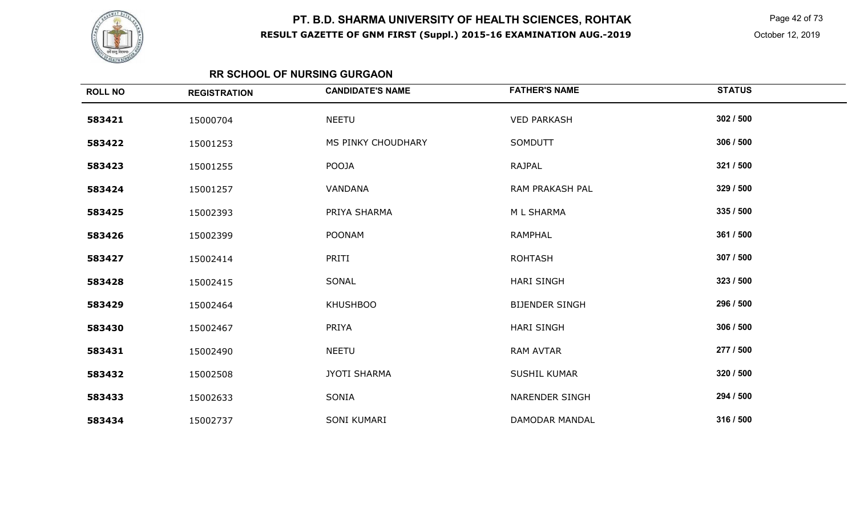

 Page 42 of 73 October 12, 2019

### **RR SCHOOL OF NURSING GURGAON**

| <b>ROLL NO</b> | <b>REGISTRATION</b> | <b>CANDIDATE'S NAME</b> | <b>FATHER'S NAME</b>  | <b>STATUS</b> |
|----------------|---------------------|-------------------------|-----------------------|---------------|
| 583421         | 15000704            | <b>NEETU</b>            | <b>VED PARKASH</b>    | 302 / 500     |
| 583422         | 15001253            | MS PINKY CHOUDHARY      | SOMDUTT               | 306 / 500     |
| 583423         | 15001255            | POOJA                   | <b>RAJPAL</b>         | 321 / 500     |
| 583424         | 15001257            | VANDANA                 | RAM PRAKASH PAL       | 329 / 500     |
| 583425         | 15002393            | PRIYA SHARMA            | M L SHARMA            | 335 / 500     |
| 583426         | 15002399            | <b>POONAM</b>           | <b>RAMPHAL</b>        | 361 / 500     |
| 583427         | 15002414            | PRITI                   | <b>ROHTASH</b>        | 307 / 500     |
| 583428         | 15002415            | SONAL                   | <b>HARI SINGH</b>     | 323 / 500     |
| 583429         | 15002464            | <b>KHUSHBOO</b>         | <b>BIJENDER SINGH</b> | 296 / 500     |
| 583430         | 15002467            | PRIYA                   | <b>HARI SINGH</b>     | 306 / 500     |
| 583431         | 15002490            | <b>NEETU</b>            | <b>RAM AVTAR</b>      | 277 / 500     |
| 583432         | 15002508            | <b>JYOTI SHARMA</b>     | <b>SUSHIL KUMAR</b>   | 320 / 500     |
| 583433         | 15002633            | SONIA                   | <b>NARENDER SINGH</b> | 294 / 500     |
| 583434         | 15002737            | SONI KUMARI             | DAMODAR MANDAL        | 316 / 500     |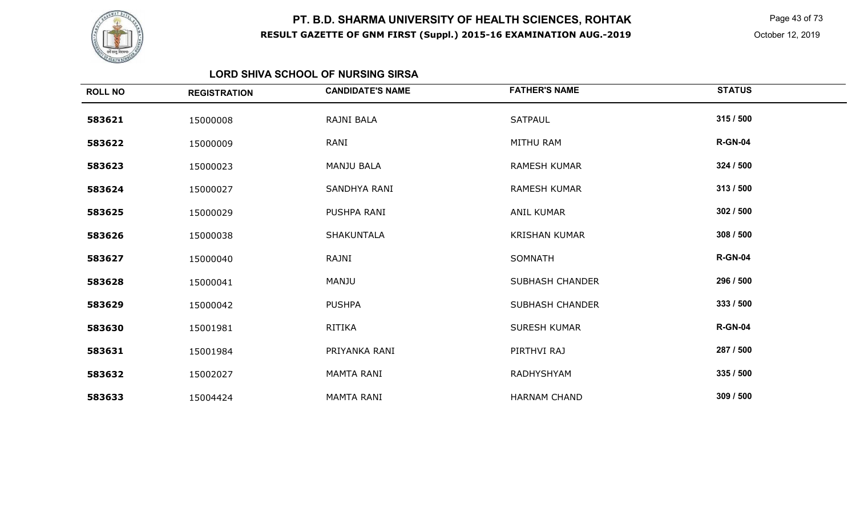

 Page 43 of 73 October 12, 2019

#### **LORD SHIVA SCHOOL OF NURSING SIRSA**

| <b>ROLL NO</b> | <b>REGISTRATION</b> | <b>CANDIDATE'S NAME</b> | <b>FATHER'S NAME</b>   | <b>STATUS</b>  |
|----------------|---------------------|-------------------------|------------------------|----------------|
| 583621         | 15000008            | RAJNI BALA              | SATPAUL                | 315 / 500      |
| 583622         | 15000009            | RANI                    | <b>MITHU RAM</b>       | <b>R-GN-04</b> |
| 583623         | 15000023            | MANJU BALA              | <b>RAMESH KUMAR</b>    | 324 / 500      |
| 583624         | 15000027            | SANDHYA RANI            | <b>RAMESH KUMAR</b>    | 313/500        |
| 583625         | 15000029            | PUSHPA RANI             | <b>ANIL KUMAR</b>      | 302 / 500      |
| 583626         | 15000038            | SHAKUNTALA              | <b>KRISHAN KUMAR</b>   | 308 / 500      |
| 583627         | 15000040            | RAJNI                   | SOMNATH                | <b>R-GN-04</b> |
| 583628         | 15000041            | MANJU                   | <b>SUBHASH CHANDER</b> | 296 / 500      |
| 583629         | 15000042            | <b>PUSHPA</b>           | <b>SUBHASH CHANDER</b> | 333 / 500      |
| 583630         | 15001981            | RITIKA                  | <b>SURESH KUMAR</b>    | <b>R-GN-04</b> |
| 583631         | 15001984            | PRIYANKA RANI           | PIRTHVI RAJ            | 287 / 500      |
| 583632         | 15002027            | <b>MAMTA RANI</b>       | <b>RADHYSHYAM</b>      | 335 / 500      |
| 583633         | 15004424            | <b>MAMTA RANI</b>       | <b>HARNAM CHAND</b>    | 309 / 500      |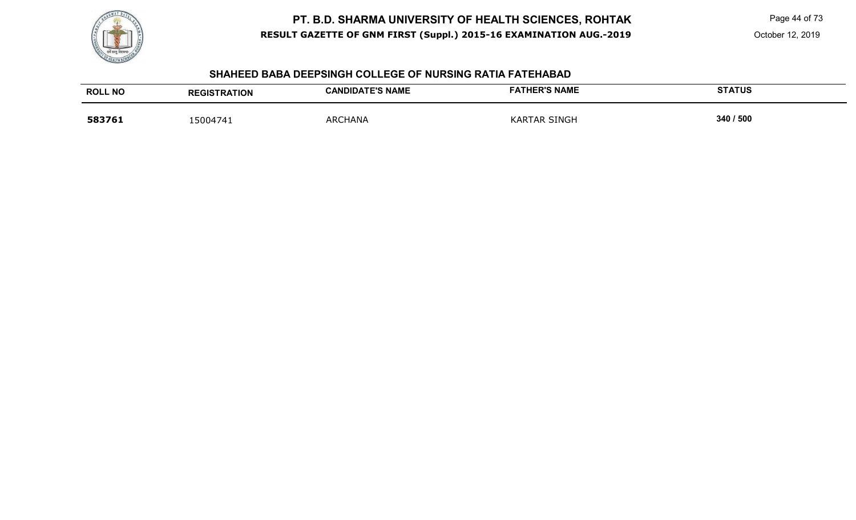

Page 44 of 73

October 12, 2019

#### **SHAHEED BABA DEEPSINGH COLLEGE OF NURSING RATIA FATEHABAD**

| <b>ROLL NO</b> | <b>REGISTRATION</b> | <b>CANDIDATE'S NAME</b> | <b>FATHER'S NAME</b> | <b>STATUS</b> |
|----------------|---------------------|-------------------------|----------------------|---------------|
| 583761         | 15004741            | <b>ARCHANA</b>          | <b>KARTAR SINGH</b>  | 340 / 500     |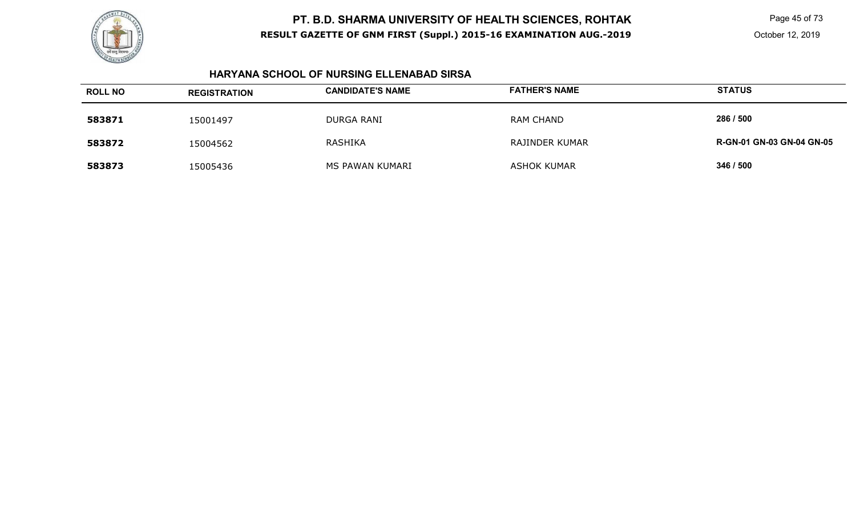

Page 45 of 73

October 12, 2019

### **HARYANA SCHOOL OF NURSING ELLENABAD SIRSA**

| <b>ROLL NO</b> | <b>REGISTRATION</b> | <b>CANDIDATE'S NAME</b> | <b>FATHER'S NAME</b> | <b>STATUS</b>                    |
|----------------|---------------------|-------------------------|----------------------|----------------------------------|
| 583871         | 15001497            | <b>DURGA RANI</b>       | <b>RAM CHAND</b>     | 286 / 500                        |
| 583872         | 15004562            | RASHIKA                 | RAJINDER KUMAR       | <b>R-GN-01 GN-03 GN-04 GN-05</b> |
| 583873         | 15005436            | MS PAWAN KUMARI         | ASHOK KUMAR          | 346 / 500                        |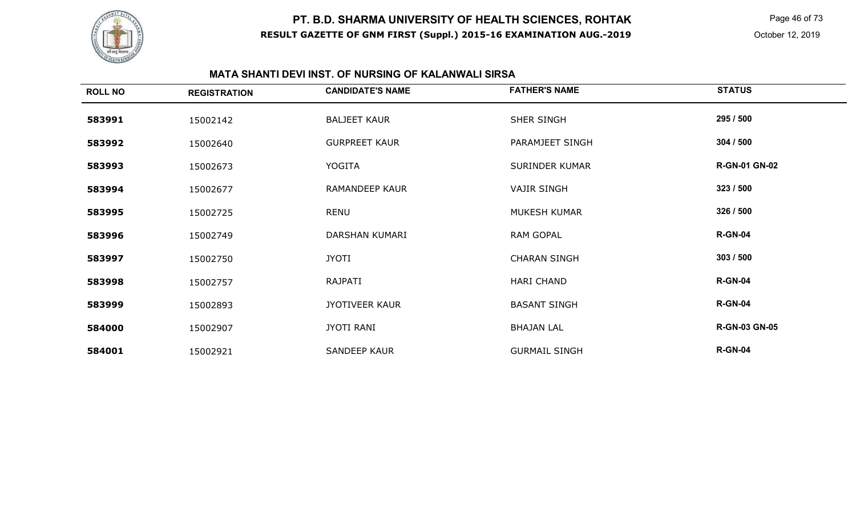

Page 46 of 73

#### **MATA SHANTI DEVI INST. OF NURSING OF KALANWALI SIRSA**

| <b>ROLL NO</b> | <b>REGISTRATION</b> | <b>CANDIDATE'S NAME</b> | <b>FATHER'S NAME</b>  | <b>STATUS</b>        |
|----------------|---------------------|-------------------------|-----------------------|----------------------|
| 583991         | 15002142            | <b>BALJEET KAUR</b>     | SHER SINGH            | 295 / 500            |
| 583992         | 15002640            | <b>GURPREET KAUR</b>    | PARAMJEET SINGH       | 304 / 500            |
| 583993         | 15002673            | YOGITA                  | <b>SURINDER KUMAR</b> | <b>R-GN-01 GN-02</b> |
| 583994         | 15002677            | <b>RAMANDEEP KAUR</b>   | <b>VAJIR SINGH</b>    | 323 / 500            |
| 583995         | 15002725            | RENU                    | <b>MUKESH KUMAR</b>   | 326 / 500            |
| 583996         | 15002749            | DARSHAN KUMARI          | RAM GOPAL             | <b>R-GN-04</b>       |
| 583997         | 15002750            | <b>JYOTI</b>            | <b>CHARAN SINGH</b>   | 303 / 500            |
| 583998         | 15002757            | RAJPATI                 | HARI CHAND            | <b>R-GN-04</b>       |
| 583999         | 15002893            | <b>JYOTIVEER KAUR</b>   | <b>BASANT SINGH</b>   | <b>R-GN-04</b>       |
| 584000         | 15002907            | JYOTI RANI              | <b>BHAJAN LAL</b>     | <b>R-GN-03 GN-05</b> |
| 584001         | 15002921            | <b>SANDEEP KAUR</b>     | <b>GURMAIL SINGH</b>  | <b>R-GN-04</b>       |
|                |                     |                         |                       |                      |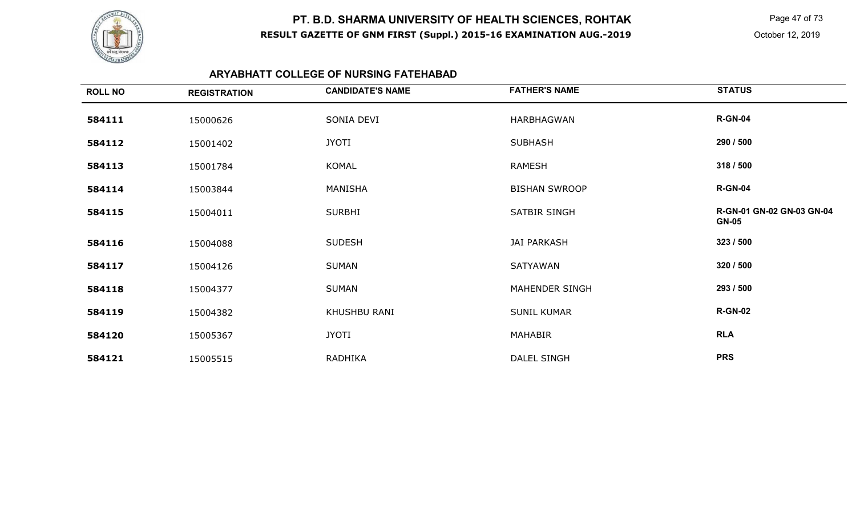

 Page 47 of 73 October 12, 2019

### **ARYABHATT COLLEGE OF NURSING FATEHABAD**

| <b>ROLL NO</b> | <b>REGISTRATION</b> | <b>CANDIDATE'S NAME</b> | <b>FATHER'S NAME</b>  | <b>STATUS</b>                             |
|----------------|---------------------|-------------------------|-----------------------|-------------------------------------------|
| 584111         | 15000626            | SONIA DEVI              | HARBHAGWAN            | <b>R-GN-04</b>                            |
| 584112         | 15001402            | <b>JYOTI</b>            | <b>SUBHASH</b>        | 290 / 500                                 |
| 584113         | 15001784            | KOMAL                   | RAMESH                | 318 / 500                                 |
| 584114         | 15003844            | MANISHA                 | <b>BISHAN SWROOP</b>  | <b>R-GN-04</b>                            |
| 584115         | 15004011            | <b>SURBHI</b>           | SATBIR SINGH          | R-GN-01 GN-02 GN-03 GN-04<br><b>GN-05</b> |
| 584116         | 15004088            | <b>SUDESH</b>           | <b>JAI PARKASH</b>    | 323 / 500                                 |
| 584117         | 15004126            | <b>SUMAN</b>            | SATYAWAN              | 320 / 500                                 |
| 584118         | 15004377            | <b>SUMAN</b>            | <b>MAHENDER SINGH</b> | 293 / 500                                 |
| 584119         | 15004382            | KHUSHBU RANI            | <b>SUNIL KUMAR</b>    | <b>R-GN-02</b>                            |
| 584120         | 15005367            | <b>JYOTI</b>            | MAHABIR               | <b>RLA</b>                                |
| 584121         | 15005515            | <b>RADHIKA</b>          | DALEL SINGH           | <b>PRS</b>                                |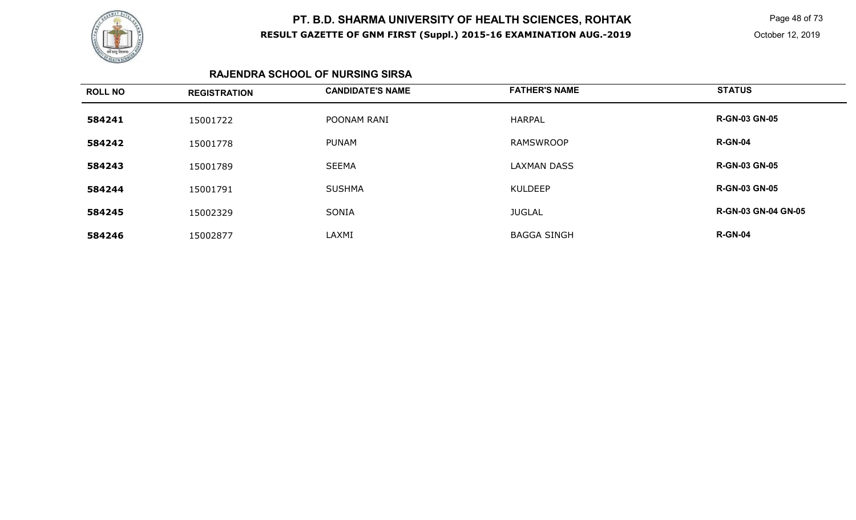

 Page 48 of 73 October 12, 2019

#### **RAJENDRA SCHOOL OF NURSING SIRSA**

| <b>ROLL NO</b> | <b>REGISTRATION</b> | <b>CANDIDATE'S NAME</b> | <b>FATHER'S NAME</b> | <b>STATUS</b>              |
|----------------|---------------------|-------------------------|----------------------|----------------------------|
| 584241         | 15001722            | POONAM RANI             | <b>HARPAL</b>        | <b>R-GN-03 GN-05</b>       |
| 584242         | 15001778            | <b>PUNAM</b>            | <b>RAMSWROOP</b>     | <b>R-GN-04</b>             |
| 584243         | 15001789            | <b>SEEMA</b>            | <b>LAXMAN DASS</b>   | <b>R-GN-03 GN-05</b>       |
| 584244         | 15001791            | <b>SUSHMA</b>           | <b>KULDEEP</b>       | <b>R-GN-03 GN-05</b>       |
| 584245         | 15002329            | <b>SONIA</b>            | <b>JUGLAL</b>        | <b>R-GN-03 GN-04 GN-05</b> |
| 584246         | 15002877            | LAXMI                   | <b>BAGGA SINGH</b>   | <b>R-GN-04</b>             |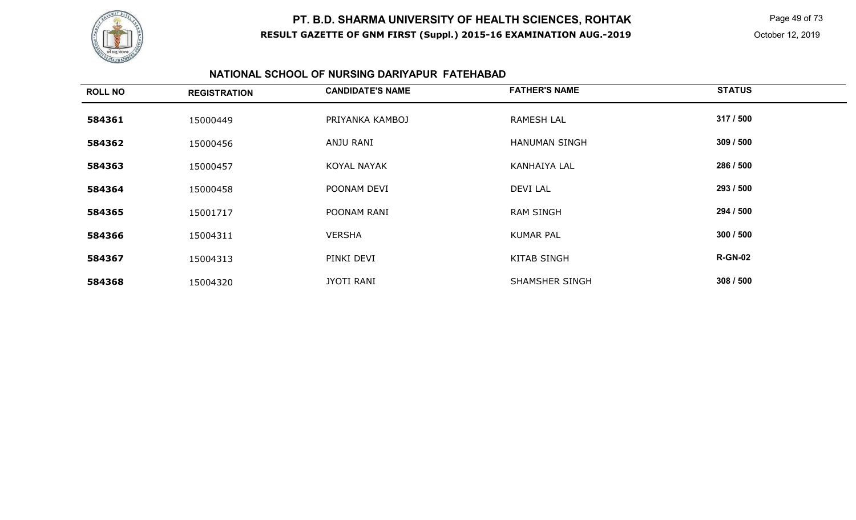

 Page 49 of 73 October 12, 2019

### **NATIONAL SCHOOL OF NURSING DARIYAPUR FATEHABAD**

| <b>ROLL NO</b> | <b>REGISTRATION</b> | <b>CANDIDATE'S NAME</b> | <b>FATHER'S NAME</b>  | <b>STATUS</b>  |
|----------------|---------------------|-------------------------|-----------------------|----------------|
| 584361         | 15000449            | PRIYANKA KAMBOJ         | <b>RAMESH LAL</b>     | 317 / 500      |
| 584362         | 15000456            | ANJU RANI               | <b>HANUMAN SINGH</b>  | 309 / 500      |
| 584363         | 15000457            | <b>KOYAL NAYAK</b>      | <b>KANHAIYA LAL</b>   | 286 / 500      |
| 584364         | 15000458            | POONAM DEVI             | <b>DEVI LAL</b>       | 293 / 500      |
| 584365         | 15001717            | POONAM RANI             | <b>RAM SINGH</b>      | 294 / 500      |
| 584366         | 15004311            | <b>VERSHA</b>           | <b>KUMAR PAL</b>      | 300 / 500      |
| 584367         | 15004313            | PINKI DEVI              | <b>KITAB SINGH</b>    | <b>R-GN-02</b> |
| 584368         | 15004320            | <b>JYOTI RANI</b>       | <b>SHAMSHER SINGH</b> | 308 / 500      |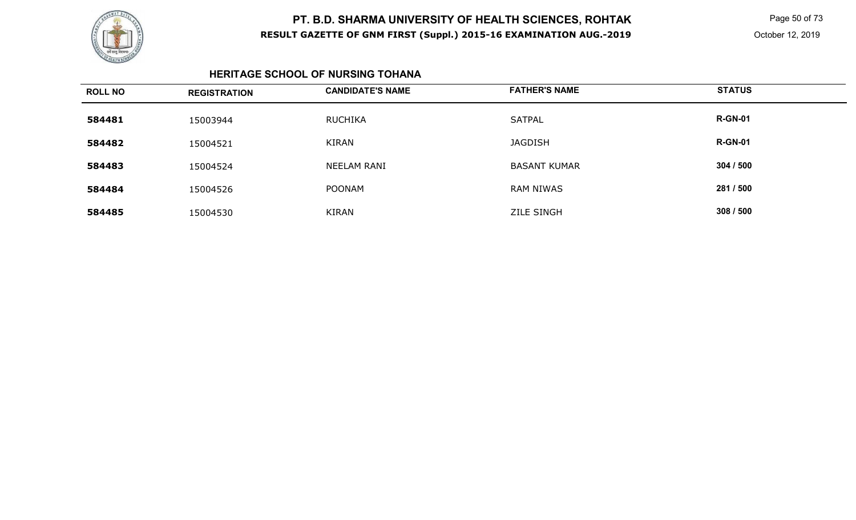

 Page 50 of 73 October 12, 2019

#### **HERITAGE SCHOOL OF NURSING TOHANA**

| <b>ROLL NO</b> | <b>REGISTRATION</b> | <b>CANDIDATE'S NAME</b> | <b>FATHER'S NAME</b> | <b>STATUS</b>  |
|----------------|---------------------|-------------------------|----------------------|----------------|
| 584481         | 15003944            | RUCHIKA                 | <b>SATPAL</b>        | <b>R-GN-01</b> |
| 584482         | 15004521            | <b>KIRAN</b>            | <b>JAGDISH</b>       | <b>R-GN-01</b> |
| 584483         | 15004524            | NEELAM RANI             | <b>BASANT KUMAR</b>  | 304 / 500      |
| 584484         | 15004526            | <b>POONAM</b>           | <b>RAM NIWAS</b>     | 281 / 500      |
| 584485         | 15004530            | <b>KIRAN</b>            | <b>ZILE SINGH</b>    | 308 / 500      |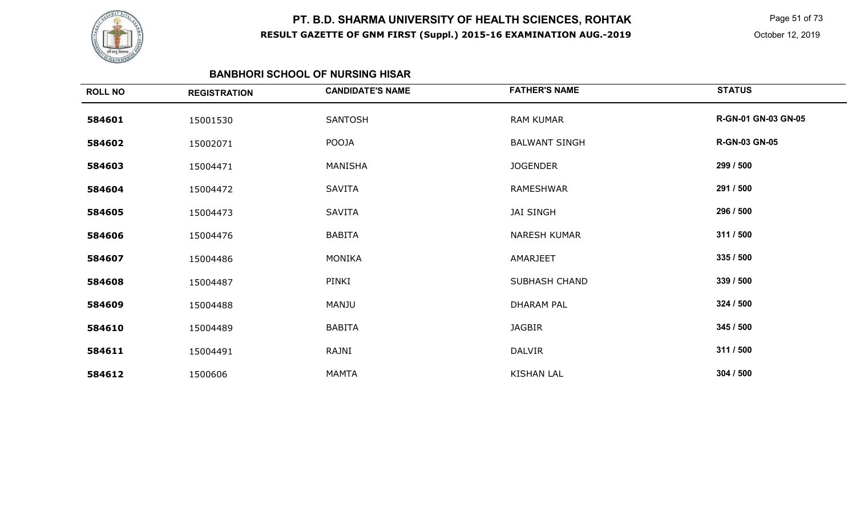

 Page 51 of 73 October 12, 2019

#### **BANBHORI SCHOOL OF NURSING HISAR**

| <b>ROLL NO</b> | <b>REGISTRATION</b> | <b>CANDIDATE'S NAME</b> | <b>FATHER'S NAME</b> | <b>STATUS</b>        |
|----------------|---------------------|-------------------------|----------------------|----------------------|
| 584601         | 15001530            | SANTOSH                 | <b>RAM KUMAR</b>     | R-GN-01 GN-03 GN-05  |
| 584602         | 15002071            | POOJA                   | <b>BALWANT SINGH</b> | <b>R-GN-03 GN-05</b> |
| 584603         | 15004471            | MANISHA                 | <b>JOGENDER</b>      | 299 / 500            |
| 584604         | 15004472            | <b>SAVITA</b>           | RAMESHWAR            | 291 / 500            |
| 584605         | 15004473            | <b>SAVITA</b>           | <b>JAI SINGH</b>     | 296 / 500            |
| 584606         | 15004476            | <b>BABITA</b>           | NARESH KUMAR         | 311 / 500            |
| 584607         | 15004486            | MONIKA                  | AMARJEET             | 335 / 500            |
| 584608         | 15004487            | PINKI                   | SUBHASH CHAND        | 339 / 500            |
| 584609         | 15004488            | MANJU                   | <b>DHARAM PAL</b>    | 324 / 500            |
| 584610         | 15004489            | <b>BABITA</b>           | <b>JAGBIR</b>        | 345 / 500            |
| 584611         | 15004491            | RAJNI                   | <b>DALVIR</b>        | 311 / 500            |
| 584612         | 1500606             | MAMTA                   | <b>KISHAN LAL</b>    | 304 / 500            |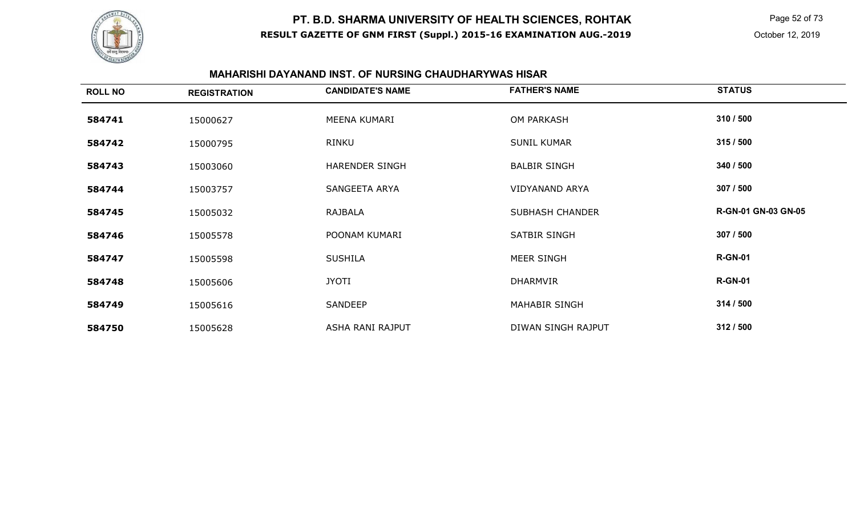

 Page 52 of 73 October 12, 2019

#### **MAHARISHI DAYANAND INST. OF NURSING CHAUDHARYWAS HISAR**

| <b>ROLL NO</b> | <b>REGISTRATION</b> | <b>CANDIDATE'S NAME</b> | <b>FATHER'S NAME</b>   | <b>STATUS</b>       |
|----------------|---------------------|-------------------------|------------------------|---------------------|
| 584741         | 15000627            | MEENA KUMARI            | <b>OM PARKASH</b>      | 310 / 500           |
| 584742         | 15000795            | RINKU                   | <b>SUNIL KUMAR</b>     | 315 / 500           |
| 584743         | 15003060            | HARENDER SINGH          | <b>BALBIR SINGH</b>    | 340 / 500           |
| 584744         | 15003757            | SANGEETA ARYA           | <b>VIDYANAND ARYA</b>  | 307 / 500           |
| 584745         | 15005032            | RAJBALA                 | <b>SUBHASH CHANDER</b> | R-GN-01 GN-03 GN-05 |
| 584746         | 15005578            | POONAM KUMARI           | SATBIR SINGH           | 307 / 500           |
| 584747         | 15005598            | <b>SUSHILA</b>          | MEER SINGH             | <b>R-GN-01</b>      |
| 584748         | 15005606            | <b>JYOTI</b>            | <b>DHARMVIR</b>        | <b>R-GN-01</b>      |
| 584749         | 15005616            | SANDEEP                 | <b>MAHABIR SINGH</b>   | 314 / 500           |
| 584750         | 15005628            | ASHA RANI RAJPUT        | DIWAN SINGH RAJPUT     | 312 / 500           |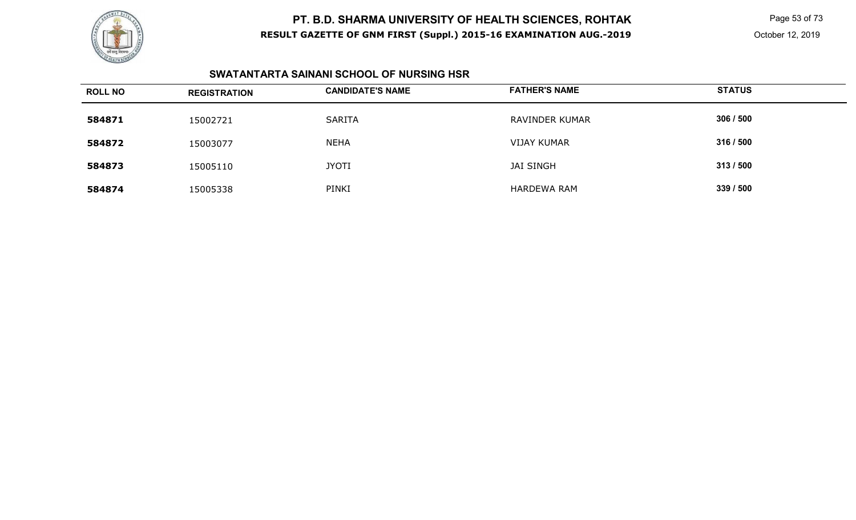

 Page 53 of 73 October 12, 2019

### **SWATANTARTA SAINANI SCHOOL OF NURSING HSR**

| <b>ROLL NO</b> | <b>REGISTRATION</b> | <b>CANDIDATE'S NAME</b> | <b>FATHER'S NAME</b> | <b>STATUS</b> |
|----------------|---------------------|-------------------------|----------------------|---------------|
| 584871         | 15002721            | <b>SARITA</b>           | RAVINDER KUMAR       | 306 / 500     |
| 584872         | 15003077            | <b>NEHA</b>             | <b>VIJAY KUMAR</b>   | 316 / 500     |
| 584873         | 15005110            | <b>JYOTI</b>            | <b>JAI SINGH</b>     | 313/500       |
| 584874         | 15005338            | PINKI                   | HARDEWA RAM          | 339 / 500     |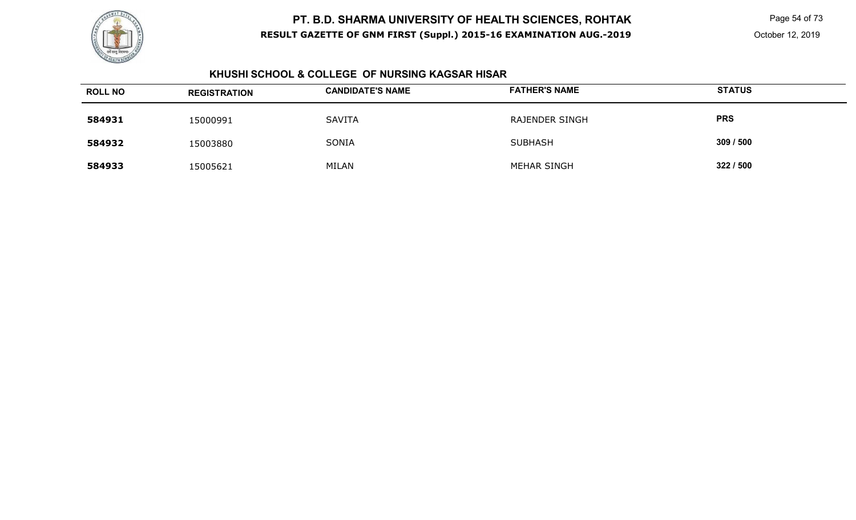

 Page 54 of 73 October 12, 2019

### **KHUSHI SCHOOL & COLLEGE OF NURSING KAGSAR HISAR**

| <b>ROLL NO</b> | <b>REGISTRATION</b> | <b>CANDIDATE'S NAME</b> | <b>FATHER'S NAME</b> | <b>STATUS</b> |
|----------------|---------------------|-------------------------|----------------------|---------------|
| 584931         | 15000991            | <b>SAVITA</b>           | RAJENDER SINGH       | <b>PRS</b>    |
| 584932         | 15003880            | SONIA                   | <b>SUBHASH</b>       | 309 / 500     |
| 584933         | 15005621            | <b>MILAN</b>            | MEHAR SINGH          | 322/500       |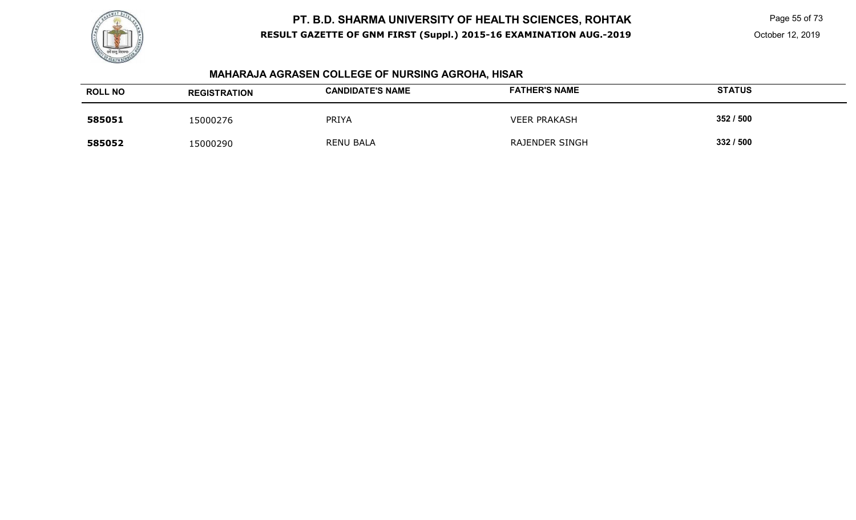

Page 55 of 73

October 12, 2019

# **MAHARAJA AGRASEN COLLEGE OF NURSING AGROHA, HISAR**

| <b>ROLL NO</b> | <b>REGISTRATION</b> | <b>CANDIDATE'S NAME</b> | <b>FATHER'S NAME</b>  | <b>STATUS</b> |
|----------------|---------------------|-------------------------|-----------------------|---------------|
| 585051         | 15000276            | <b>PRIYA</b>            | <b>VEER PRAKASH</b>   | 352 / 500     |
| 585052         | 15000290            | <b>RENU BALA</b>        | <b>RAJENDER SINGH</b> | 332 / 500     |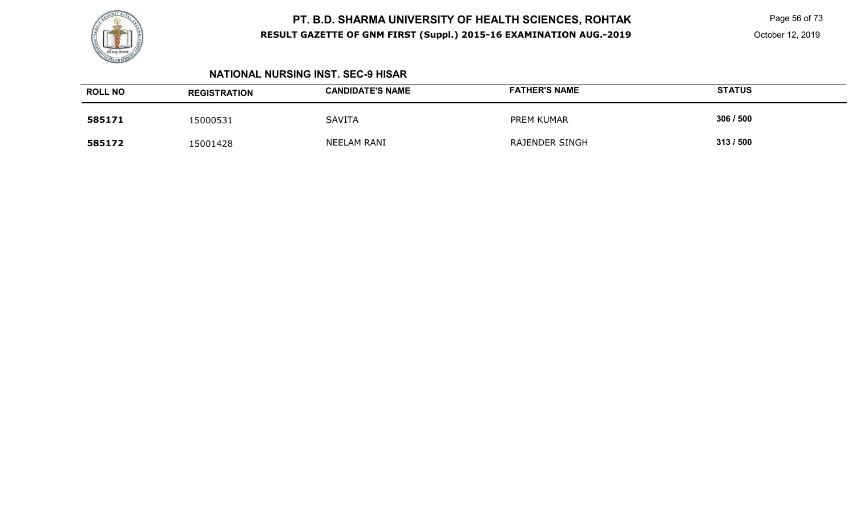

 Page 56 of 73 October 12, 2019

#### **NATIONAL NURSING INST. SEC-9 HISAR**

| <b>ROLL NO</b> | <b>REGISTRATION</b> | <b>CANDIDATE'S NAME</b> | <b>FATHER'S NAME</b>  | <b>STATUS</b> |
|----------------|---------------------|-------------------------|-----------------------|---------------|
| 585171         | 15000531            | <b>SAVITA</b>           | PREM KUMAR            | 306 / 500     |
| 585172         | 15001428            | NEELAM RANI             | <b>RAJENDER SINGH</b> | 313/500       |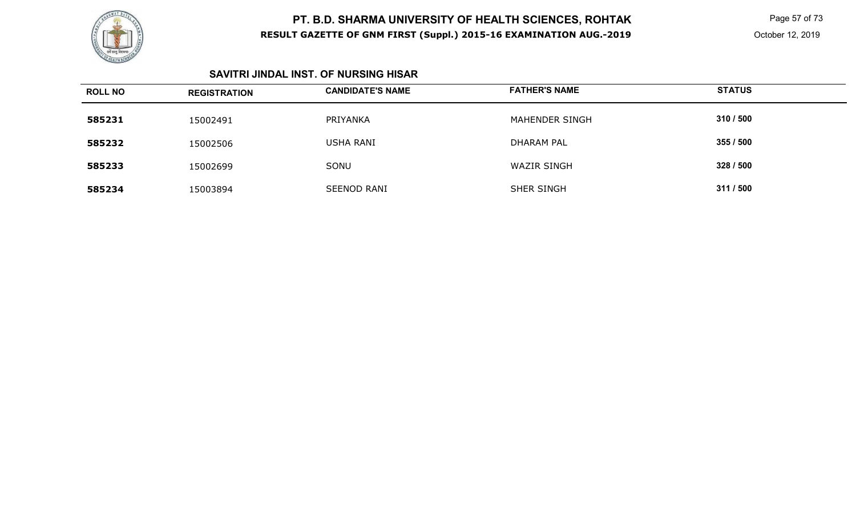

 Page 57 of 73 October 12, 2019

#### **SAVITRI JINDAL INST. OF NURSING HISAR**

| <b>ROLL NO</b> | <b>REGISTRATION</b> | <b>CANDIDATE'S NAME</b> | <b>FATHER'S NAME</b> | <b>STATUS</b> |
|----------------|---------------------|-------------------------|----------------------|---------------|
| 585231         | 15002491            | PRIYANKA                | MAHENDER SINGH       | 310 / 500     |
| 585232         | 15002506            | <b>USHA RANI</b>        | <b>DHARAM PAL</b>    | 355 / 500     |
| 585233         | 15002699            | SONU                    | <b>WAZIR SINGH</b>   | 328 / 500     |
| 585234         | 15003894            | <b>SEENOD RANI</b>      | <b>SHER SINGH</b>    | 311 / 500     |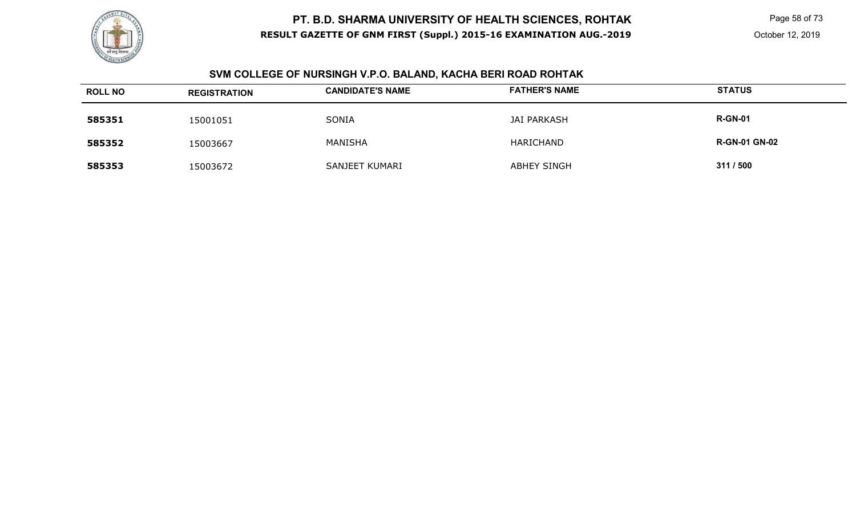

 Page 58 of 73 October 12, 2019

#### **SVM COLLEGE OF NURSINGH V.P.O. BALAND, KACHA BERI ROAD ROHTAK**

| <b>ROLL NO</b> | <b>REGISTRATION</b> | <b>CANDIDATE'S NAME</b> | <b>FATHER'S NAME</b> | <b>STATUS</b>        |
|----------------|---------------------|-------------------------|----------------------|----------------------|
| 585351         | 15001051            | SONIA                   | JAI PARKASH          | <b>R-GN-01</b>       |
| 585352         | 15003667            | MANISHA                 | HARICHAND            | <b>R-GN-01 GN-02</b> |
| 585353         | 15003672            | SANJEET KUMARI          | <b>ABHEY SINGH</b>   | 311 / 500            |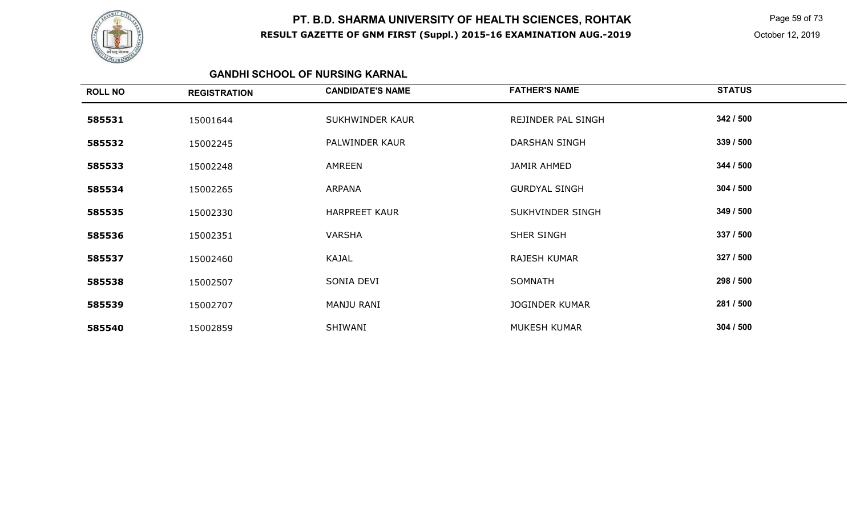

 Page 59 of 73 October 12, 2019

### **GANDHI SCHOOL OF NURSING KARNAL**

| <b>ROLL NO</b> | <b>REGISTRATION</b> | <b>CANDIDATE'S NAME</b> | <b>FATHER'S NAME</b>  | <b>STATUS</b> |
|----------------|---------------------|-------------------------|-----------------------|---------------|
| 585531         | 15001644            | SUKHWINDER KAUR         | REJINDER PAL SINGH    | 342 / 500     |
| 585532         | 15002245            | PALWINDER KAUR          | <b>DARSHAN SINGH</b>  | 339 / 500     |
| 585533         | 15002248            | AMREEN                  | JAMIR AHMED           | 344 / 500     |
| 585534         | 15002265            | ARPANA                  | <b>GURDYAL SINGH</b>  | 304 / 500     |
| 585535         | 15002330            | <b>HARPREET KAUR</b>    | SUKHVINDER SINGH      | 349 / 500     |
| 585536         | 15002351            | VARSHA                  | SHER SINGH            | 337 / 500     |
| 585537         | 15002460            | <b>KAJAL</b>            | <b>RAJESH KUMAR</b>   | 327 / 500     |
| 585538         | 15002507            | SONIA DEVI              | <b>SOMNATH</b>        | 298 / 500     |
| 585539         | 15002707            | MANJU RANI              | <b>JOGINDER KUMAR</b> | 281 / 500     |
| 585540         | 15002859            | SHIWANI                 | MUKESH KUMAR          | 304 / 500     |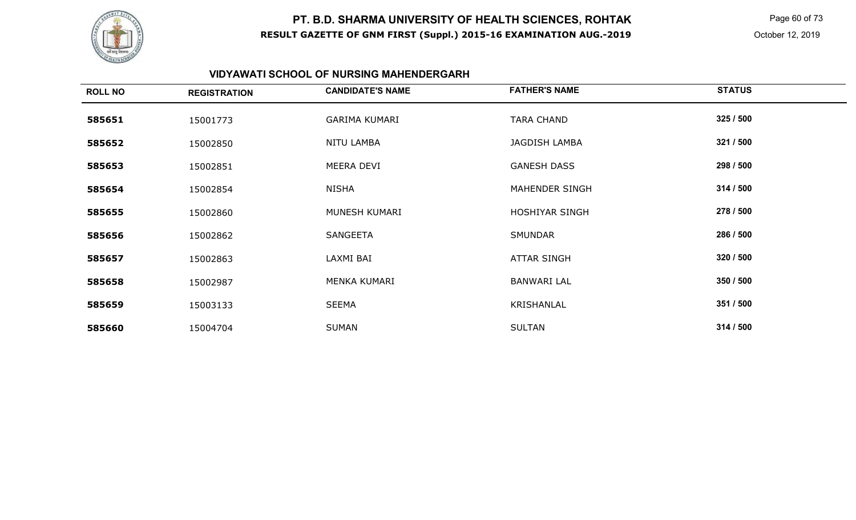

 Page 60 of 73 October 12, 2019

### **VIDYAWATI SCHOOL OF NURSING MAHENDERGARH**

| <b>ROLL NO</b> | <b>REGISTRATION</b> | <b>CANDIDATE'S NAME</b> | <b>FATHER'S NAME</b>  | <b>STATUS</b> |
|----------------|---------------------|-------------------------|-----------------------|---------------|
| 585651         | 15001773            | <b>GARIMA KUMARI</b>    | <b>TARA CHAND</b>     | 325 / 500     |
| 585652         | 15002850            | NITU LAMBA              | JAGDISH LAMBA         | 321 / 500     |
| 585653         | 15002851            | MEERA DEVI              | <b>GANESH DASS</b>    | 298 / 500     |
| 585654         | 15002854            | NISHA                   | MAHENDER SINGH        | 314 / 500     |
| 585655         | 15002860            | MUNESH KUMARI           | <b>HOSHIYAR SINGH</b> | 278 / 500     |
| 585656         | 15002862            | SANGEETA                | <b>SMUNDAR</b>        | 286 / 500     |
| 585657         | 15002863            | LAXMI BAI               | <b>ATTAR SINGH</b>    | 320 / 500     |
| 585658         | 15002987            | MENKA KUMARI            | <b>BANWARI LAL</b>    | 350 / 500     |
| 585659         | 15003133            | <b>SEEMA</b>            | KRISHANLAL            | 351 / 500     |
| 585660         | 15004704            | <b>SUMAN</b>            | <b>SULTAN</b>         | 314 / 500     |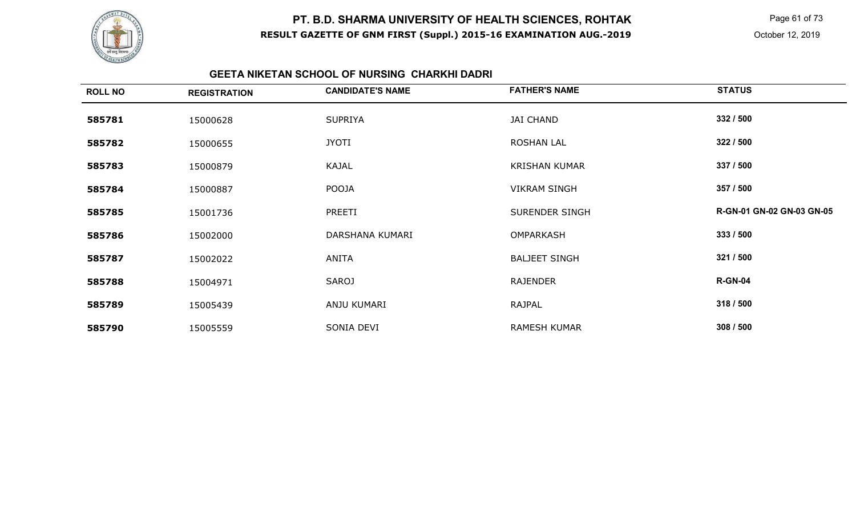

 Page 61 of 73 October 12, 2019

### **GEETA NIKETAN SCHOOL OF NURSING CHARKHI DADRI**

| <b>ROLL NO</b> | <b>REGISTRATION</b> | <b>CANDIDATE'S NAME</b> | <b>FATHER'S NAME</b>  | <b>STATUS</b>             |
|----------------|---------------------|-------------------------|-----------------------|---------------------------|
| 585781         | 15000628            | <b>SUPRIYA</b>          | <b>JAI CHAND</b>      | 332 / 500                 |
| 585782         | 15000655            | <b>JYOTI</b>            | <b>ROSHAN LAL</b>     | 322 / 500                 |
| 585783         | 15000879            | KAJAL                   | <b>KRISHAN KUMAR</b>  | 337 / 500                 |
| 585784         | 15000887            | <b>POOJA</b>            | <b>VIKRAM SINGH</b>   | 357 / 500                 |
| 585785         | 15001736            | PREETI                  | <b>SURENDER SINGH</b> | R-GN-01 GN-02 GN-03 GN-05 |
| 585786         | 15002000            | DARSHANA KUMARI         | <b>OMPARKASH</b>      | 333 / 500                 |
| 585787         | 15002022            | ANITA                   | <b>BALJEET SINGH</b>  | 321 / 500                 |
| 585788         | 15004971            | <b>SAROJ</b>            | <b>RAJENDER</b>       | <b>R-GN-04</b>            |
| 585789         | 15005439            | ANJU KUMARI             | RAJPAL                | 318 / 500                 |
| 585790         | 15005559            | SONIA DEVI              | <b>RAMESH KUMAR</b>   | 308 / 500                 |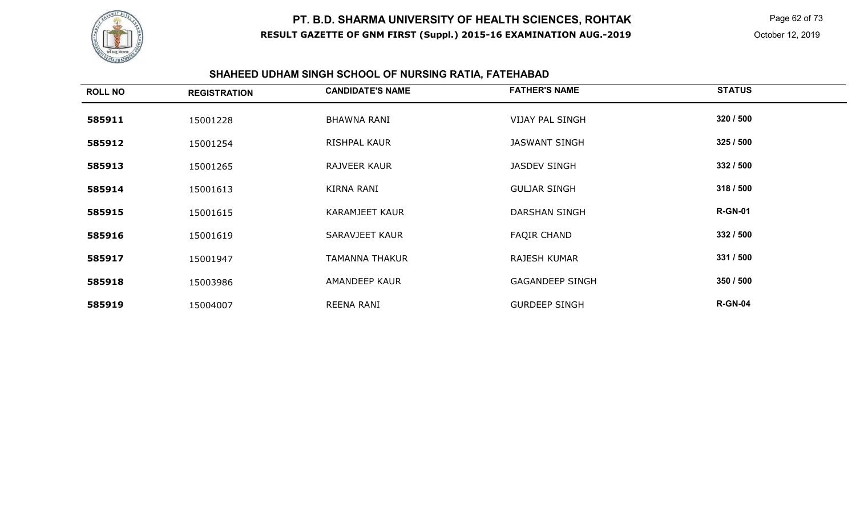

 Page 62 of 73 October 12, 2019

# **SHAHEED UDHAM SINGH SCHOOL OF NURSING RATIA, FATEHABAD**

| <b>ROLL NO</b> | <b>REGISTRATION</b> | <b>CANDIDATE'S NAME</b> | <b>FATHER'S NAME</b>   | <b>STATUS</b>  |
|----------------|---------------------|-------------------------|------------------------|----------------|
| 585911         | 15001228            | <b>BHAWNA RANI</b>      | <b>VIJAY PAL SINGH</b> | 320 / 500      |
| 585912         | 15001254            | <b>RISHPAL KAUR</b>     | <b>JASWANT SINGH</b>   | 325 / 500      |
| 585913         | 15001265            | RAJVEER KAUR            | <b>JASDEV SINGH</b>    | 332 / 500      |
| 585914         | 15001613            | <b>KIRNA RANI</b>       | <b>GULJAR SINGH</b>    | 318 / 500      |
| 585915         | 15001615            | <b>KARAMJEET KAUR</b>   | DARSHAN SINGH          | <b>R-GN-01</b> |
| 585916         | 15001619            | SARAVJEET KAUR          | <b>FAQIR CHAND</b>     | 332 / 500      |
| 585917         | 15001947            | TAMANNA THAKUR          | <b>RAJESH KUMAR</b>    | 331 / 500      |
| 585918         | 15003986            | AMANDEEP KAUR           | <b>GAGANDEEP SINGH</b> | 350 / 500      |
| 585919         | 15004007            | <b>REENA RANI</b>       | <b>GURDEEP SINGH</b>   | <b>R-GN-04</b> |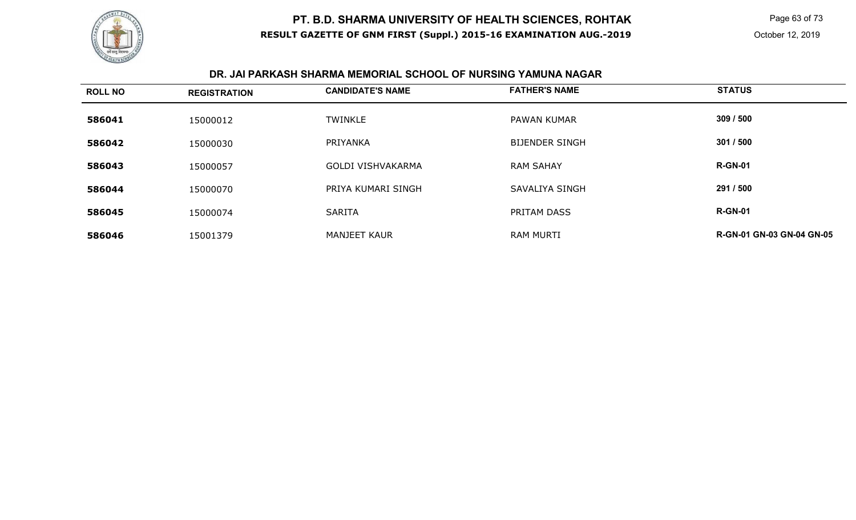

 Page 63 of 73 October 12, 2019

#### **DR. JAI PARKASH SHARMA MEMORIAL SCHOOL OF NURSING YAMUNA NAGAR**

| <b>ROLL NO</b> | <b>REGISTRATION</b> | <b>CANDIDATE'S NAME</b> | <b>FATHER'S NAME</b>  | <b>STATUS</b>                    |
|----------------|---------------------|-------------------------|-----------------------|----------------------------------|
| 586041         | 15000012            | <b>TWINKLE</b>          | <b>PAWAN KUMAR</b>    | 309/500                          |
| 586042         | 15000030            | PRIYANKA                | <b>BIJENDER SINGH</b> | 301/500                          |
| 586043         | 15000057            | GOLDI VISHVAKARMA       | <b>RAM SAHAY</b>      | <b>R-GN-01</b>                   |
| 586044         | 15000070            | PRIYA KUMARI SINGH      | SAVALIYA SINGH        | 291 / 500                        |
| 586045         | 15000074            | <b>SARITA</b>           | PRITAM DASS           | <b>R-GN-01</b>                   |
| 586046         | 15001379            | <b>MANJEET KAUR</b>     | <b>RAM MURTI</b>      | <b>R-GN-01 GN-03 GN-04 GN-05</b> |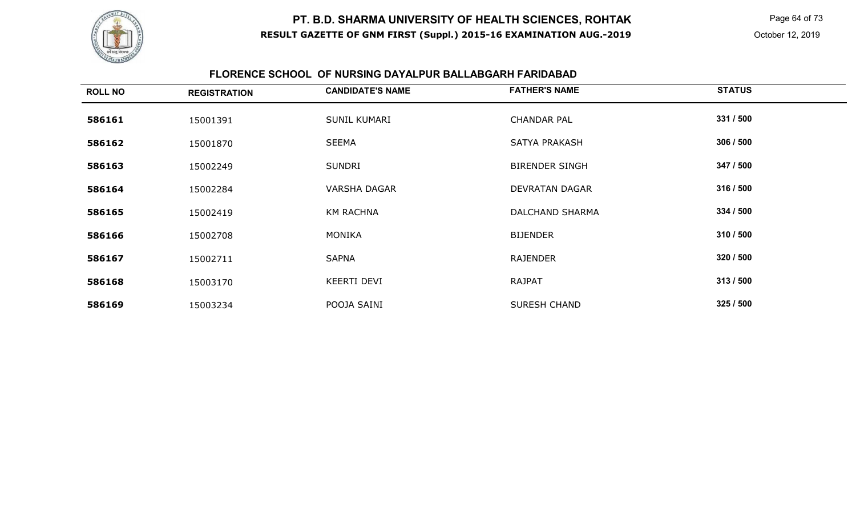

 Page 64 of 73 October 12, 2019

### **FLORENCE SCHOOL OF NURSING DAYALPUR BALLABGARH FARIDABAD**

| <b>ROLL NO</b> | <b>REGISTRATION</b> | <b>CANDIDATE'S NAME</b> | <b>FATHER'S NAME</b>   | <b>STATUS</b> |
|----------------|---------------------|-------------------------|------------------------|---------------|
| 586161         | 15001391            | SUNIL KUMARI            | <b>CHANDAR PAL</b>     | 331 / 500     |
| 586162         | 15001870            | <b>SEEMA</b>            | SATYA PRAKASH          | 306 / 500     |
| 586163         | 15002249            | <b>SUNDRI</b>           | <b>BIRENDER SINGH</b>  | 347 / 500     |
| 586164         | 15002284            | <b>VARSHA DAGAR</b>     | <b>DEVRATAN DAGAR</b>  | 316 / 500     |
| 586165         | 15002419            | <b>KM RACHNA</b>        | <b>DALCHAND SHARMA</b> | 334 / 500     |
| 586166         | 15002708            | <b>MONIKA</b>           | <b>BIJENDER</b>        | 310 / 500     |
| 586167         | 15002711            | <b>SAPNA</b>            | <b>RAJENDER</b>        | 320 / 500     |
| 586168         | 15003170            | <b>KEERTI DEVI</b>      | <b>RAJPAT</b>          | 313 / 500     |
| 586169         | 15003234            | POOJA SAINI             | <b>SURESH CHAND</b>    | 325 / 500     |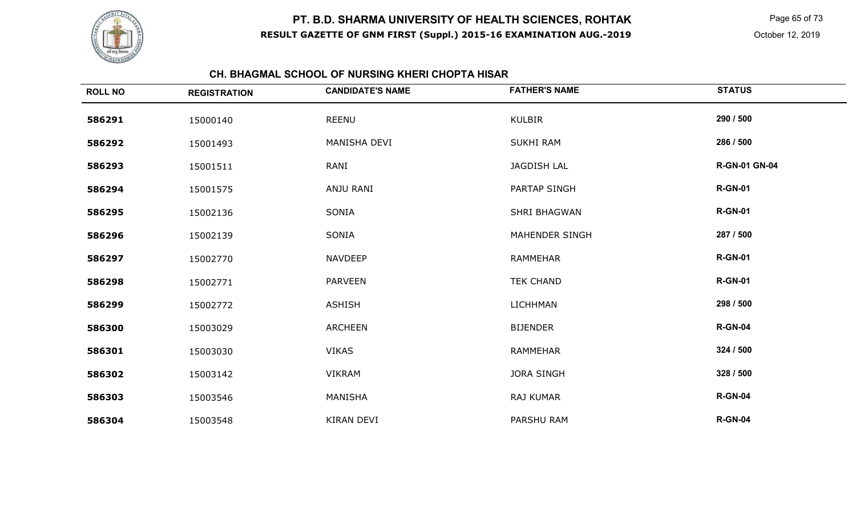

Page 65 of 73

October 12, 2019

### **CH. BHAGMAL SCHOOL OF NURSING KHERI CHOPTA HISAR**

| <b>ROLL NO</b> | <b>REGISTRATION</b> | <b>CANDIDATE'S NAME</b> | <b>FATHER'S NAME</b>  | <b>STATUS</b>        |
|----------------|---------------------|-------------------------|-----------------------|----------------------|
| 586291         | 15000140            | <b>REENU</b>            | <b>KULBIR</b>         | 290 / 500            |
| 586292         | 15001493            | MANISHA DEVI            | <b>SUKHI RAM</b>      | 286 / 500            |
| 586293         | 15001511            | RANI                    | <b>JAGDISH LAL</b>    | <b>R-GN-01 GN-04</b> |
| 586294         | 15001575            | ANJU RANI               | <b>PARTAP SINGH</b>   | <b>R-GN-01</b>       |
| 586295         | 15002136            | SONIA                   | SHRI BHAGWAN          | <b>R-GN-01</b>       |
| 586296         | 15002139            | SONIA                   | <b>MAHENDER SINGH</b> | 287 / 500            |
| 586297         | 15002770            | <b>NAVDEEP</b>          | <b>RAMMEHAR</b>       | <b>R-GN-01</b>       |
| 586298         | 15002771            | <b>PARVEEN</b>          | <b>TEK CHAND</b>      | <b>R-GN-01</b>       |
| 586299         | 15002772            | <b>ASHISH</b>           | <b>LICHHMAN</b>       | 298 / 500            |
| 586300         | 15003029            | <b>ARCHEEN</b>          | <b>BIJENDER</b>       | <b>R-GN-04</b>       |
| 586301         | 15003030            | <b>VIKAS</b>            | <b>RAMMEHAR</b>       | 324 / 500            |
| 586302         | 15003142            | <b>VIKRAM</b>           | <b>JORA SINGH</b>     | 328 / 500            |
| 586303         | 15003546            | MANISHA                 | RAJ KUMAR             | <b>R-GN-04</b>       |
| 586304         | 15003548            | <b>KIRAN DEVI</b>       | PARSHU RAM            | <b>R-GN-04</b>       |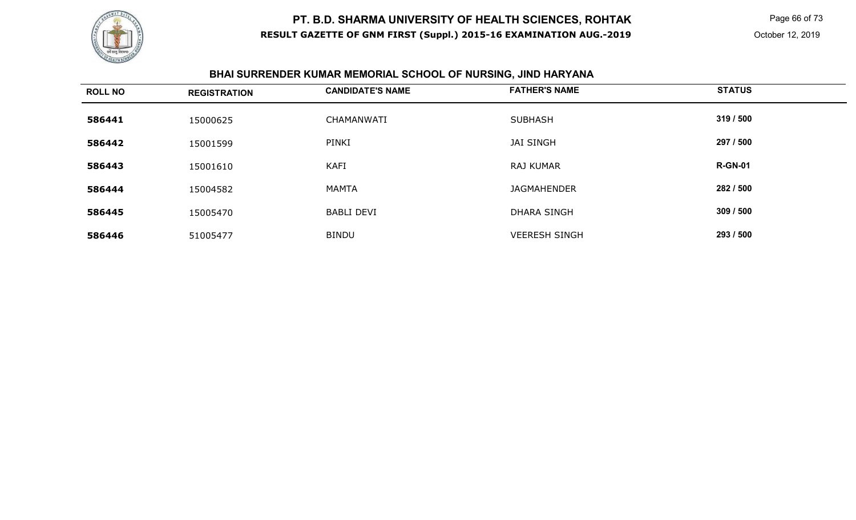

Page 66 of 73

# **BHAI SURRENDER KUMAR MEMORIAL SCHOOL OF NURSING, JIND HARYANA**

| <b>ROLL NO</b> | <b>REGISTRATION</b> | <b>CANDIDATE'S NAME</b> | <b>FATHER'S NAME</b> | <b>STATUS</b>  |
|----------------|---------------------|-------------------------|----------------------|----------------|
| 586441         | 15000625            | CHAMANWATI              | <b>SUBHASH</b>       | 319 / 500      |
| 586442         | 15001599            | PINKI                   | <b>JAI SINGH</b>     | 297 / 500      |
| 586443         | 15001610            | <b>KAFI</b>             | <b>RAJ KUMAR</b>     | <b>R-GN-01</b> |
| 586444         | 15004582            | <b>MAMTA</b>            | <b>JAGMAHENDER</b>   | 282 / 500      |
| 586445         | 15005470            | <b>BABLI DEVI</b>       | <b>DHARA SINGH</b>   | 309 / 500      |
| 586446         | 51005477            | <b>BINDU</b>            | <b>VEERESH SINGH</b> | 293 / 500      |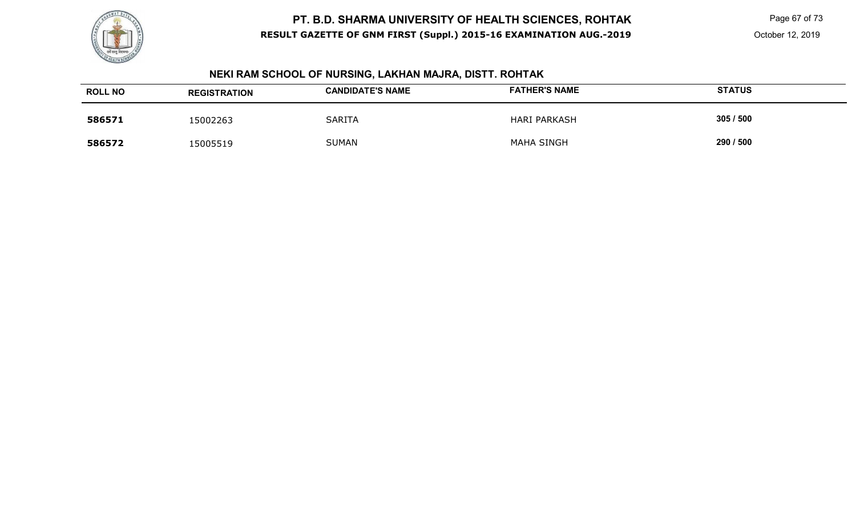

 Page 67 of 73 October 12, 2019

# **NEKI RAM SCHOOL OF NURSING, LAKHAN MAJRA, DISTT. ROHTAK**

| <b>ROLL NO</b> | <b>REGISTRATION</b> | <b>CANDIDATE'S NAME</b> | <b>FATHER'S NAME</b> | <b>STATUS</b> |
|----------------|---------------------|-------------------------|----------------------|---------------|
| 586571         | 15002263            | <b>SARITA</b>           | <b>HARI PARKASH</b>  | 305/500       |
| 586572         | 15005519            | <b>SUMAN</b>            | <b>MAHA SINGH</b>    | 290 / 500     |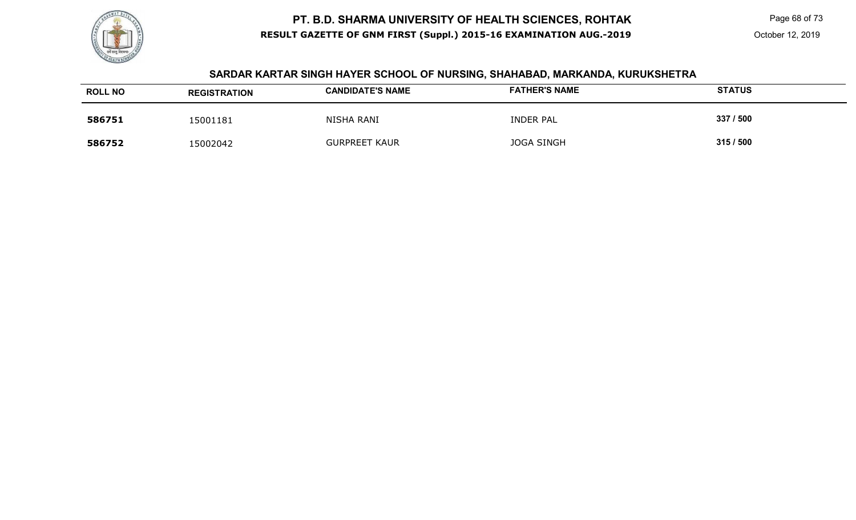

Page 68 of 73

#### **SARDAR KARTAR SINGH HAYER SCHOOL OF NURSING, SHAHABAD, MARKANDA, KURUKSHETRA**

| <b>ROLL NO</b> | <b>REGISTRATION</b> | <b>CANDIDATE'S NAME</b> | <b>FATHER'S NAME</b> | <b>STATUS</b> |
|----------------|---------------------|-------------------------|----------------------|---------------|
| 586751         | 15001181            | NISHA RANI              | <b>INDER PAL</b>     | 337 / 500     |
| 586752         | 5002042             | <b>GURPREET KAUR</b>    | <b>JOGA SINGH</b>    | 315/500       |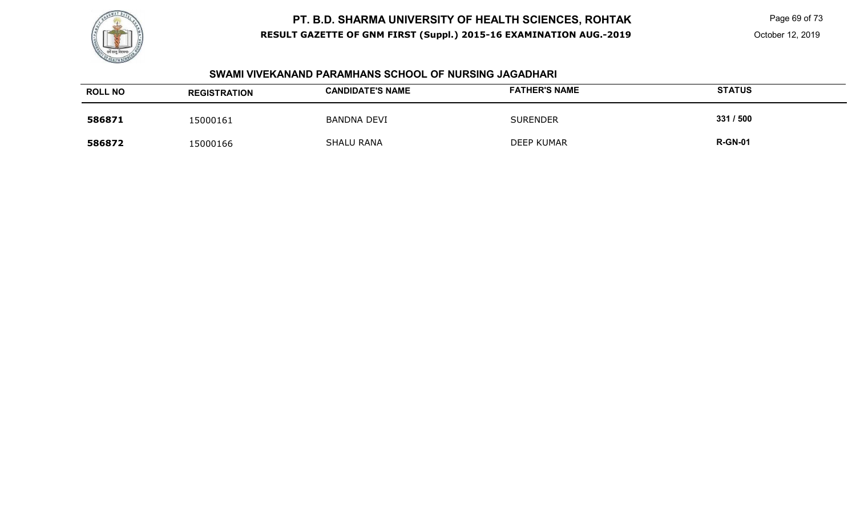

Page 69 of 73

October 12, 2019

#### **SWAMI VIVEKANAND PARAMHANS SCHOOL OF NURSING JAGADHARI**

| <b>ROLL NO</b> | <b>REGISTRATION</b> | <b>CANDIDATE'S NAME</b> | <b>FATHER'S NAME</b> | <b>STATUS</b>  |
|----------------|---------------------|-------------------------|----------------------|----------------|
| 586871         | 15000161            | <b>BANDNA DEVI</b>      | <b>SURENDER</b>      | 331 / 500      |
| 586872         | 15000166            | <b>SHALU RANA</b>       | DEEP KUMAR           | <b>R-GN-01</b> |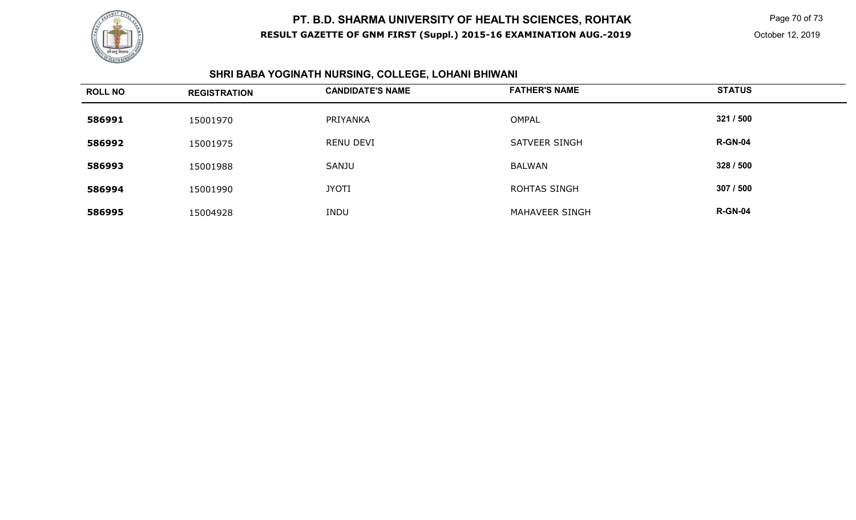

 Page 70 of 73 October 12, 2019

#### **SHRI BABA YOGINATH NURSING, COLLEGE, LOHANI BHIWANI**

| <b>ROLL NO</b> | <b>REGISTRATION</b> | <b>CANDIDATE'S NAME</b> | <b>FATHER'S NAME</b> | <b>STATUS</b>  |
|----------------|---------------------|-------------------------|----------------------|----------------|
| 586991         | 15001970            | PRIYANKA                | <b>OMPAL</b>         | 321 / 500      |
| 586992         | 15001975            | <b>RENU DEVI</b>        | SATVEER SINGH        | <b>R-GN-04</b> |
| 586993         | 15001988            | SANJU                   | BALWAN               | 328 / 500      |
| 586994         | 15001990            | <b>JYOTI</b>            | <b>ROHTAS SINGH</b>  | 307 / 500      |
| 586995         | 15004928            | <b>INDU</b>             | MAHAVEER SINGH       | <b>R-GN-04</b> |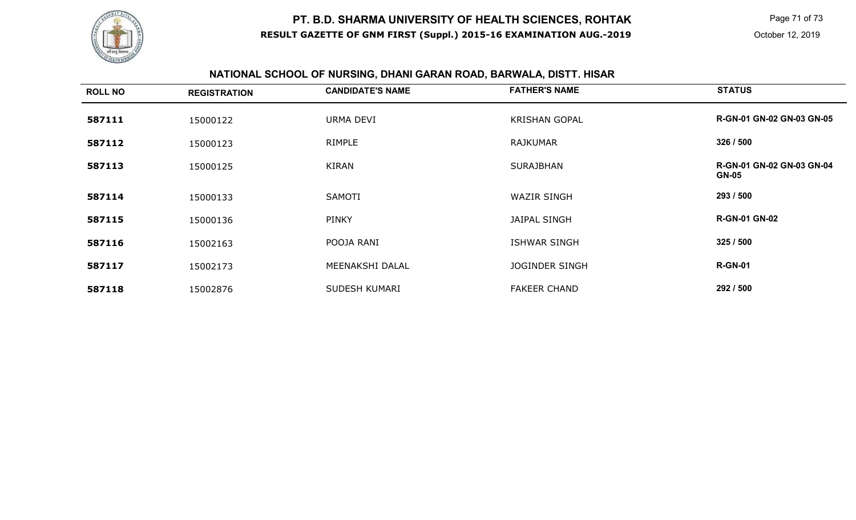

Page 71 of 73

# **NATIONAL SCHOOL OF NURSING, DHANI GARAN ROAD, BARWALA, DISTT. HISAR**

| <b>ROLL NO</b> | <b>REGISTRATION</b> | <b>CANDIDATE'S NAME</b> | <b>FATHER'S NAME</b>  | <b>STATUS</b>                                    |
|----------------|---------------------|-------------------------|-----------------------|--------------------------------------------------|
| 587111         | 15000122            | URMA DEVI               | <b>KRISHAN GOPAL</b>  | <b>R-GN-01 GN-02 GN-03 GN-05</b>                 |
| 587112         | 15000123            | RIMPLE                  | <b>RAJKUMAR</b>       | 326 / 500                                        |
| 587113         | 15000125            | <b>KIRAN</b>            | <b>SURAJBHAN</b>      | <b>R-GN-01 GN-02 GN-03 GN-04</b><br><b>GN-05</b> |
| 587114         | 15000133            | SAMOTI                  | <b>WAZIR SINGH</b>    | 293 / 500                                        |
| 587115         | 15000136            | <b>PINKY</b>            | <b>JAIPAL SINGH</b>   | <b>R-GN-01 GN-02</b>                             |
| 587116         | 15002163            | POOJA RANI              | <b>ISHWAR SINGH</b>   | 325/500                                          |
| 587117         | 15002173            | MEENAKSHI DALAL         | <b>JOGINDER SINGH</b> | <b>R-GN-01</b>                                   |
| 587118         | 15002876            | SUDESH KUMARI           | <b>FAKEER CHAND</b>   | 292 / 500                                        |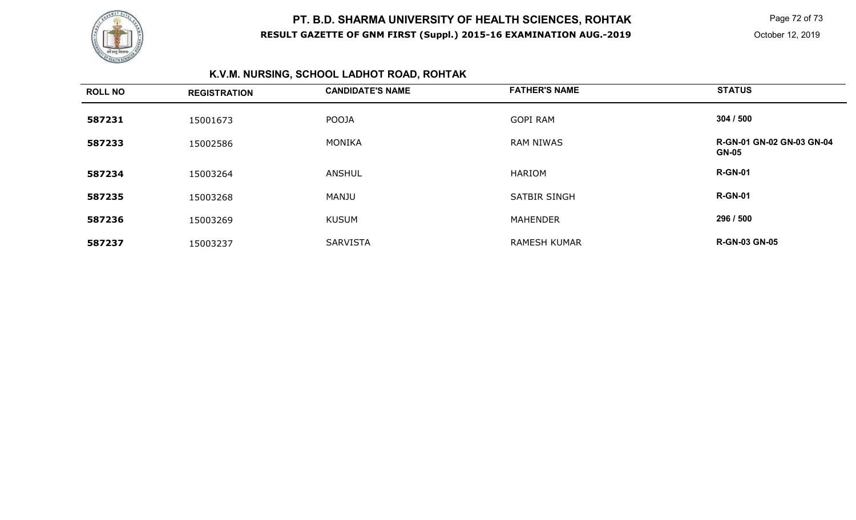

Page 72 of 73

October 12, 2019

# **K.V.M. NURSING, SCHOOL LADHOT ROAD, ROHTAK**

| <b>ROLL NO</b> | <b>REGISTRATION</b> | <b>CANDIDATE'S NAME</b> | <b>FATHER'S NAME</b> | <b>STATUS</b>                                    |
|----------------|---------------------|-------------------------|----------------------|--------------------------------------------------|
| 587231         | 15001673            | POOJA                   | <b>GOPI RAM</b>      | 304 / 500                                        |
| 587233         | 15002586            | MONIKA                  | <b>RAM NIWAS</b>     | <b>R-GN-01 GN-02 GN-03 GN-04</b><br><b>GN-05</b> |
| 587234         | 15003264            | <b>ANSHUL</b>           | HARIOM               | <b>R-GN-01</b>                                   |
| 587235         | 15003268            | MANJU                   | <b>SATBIR SINGH</b>  | <b>R-GN-01</b>                                   |
| 587236         | 15003269            | <b>KUSUM</b>            | <b>MAHENDER</b>      | 296 / 500                                        |
| 587237         | 15003237            | <b>SARVISTA</b>         | <b>RAMESH KUMAR</b>  | <b>R-GN-03 GN-05</b>                             |